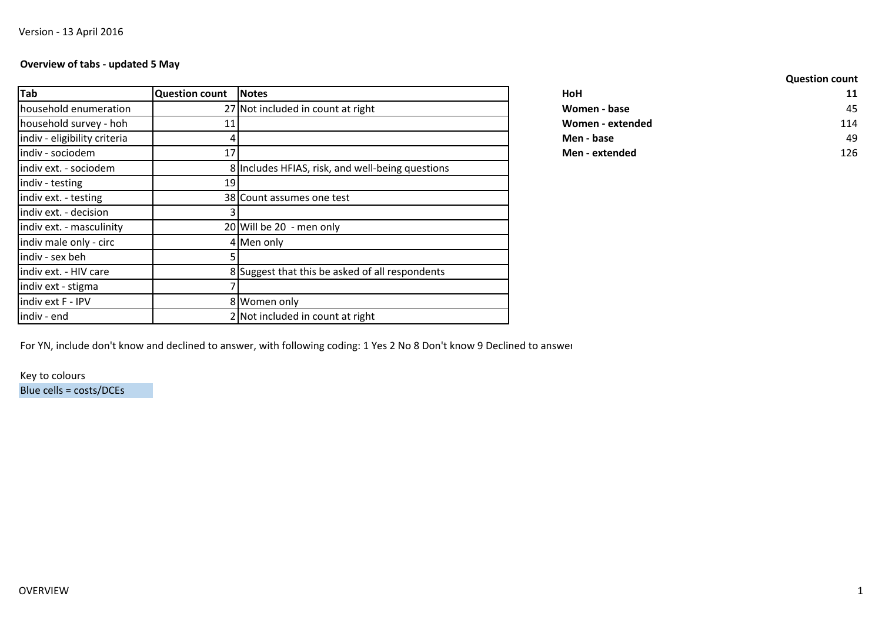# **Overview of tabs - updated 5 May**

| Tab                          | <b>Question count</b> | <b>Notes</b>                                     | HoH              | 11  |
|------------------------------|-----------------------|--------------------------------------------------|------------------|-----|
| household enumeration        |                       | 27 Not included in count at right                | Women - base     | 45  |
| household survey - hoh       |                       |                                                  | Women - extended | 114 |
| indiv - eligibility criteria |                       |                                                  | Men - base       | 49  |
| indiv - sociodem             | 17                    |                                                  | Men - extended   | 126 |
| indiv ext. - sociodem        |                       | 8 Includes HFIAS, risk, and well-being questions |                  |     |
| indiv - testing              | 191                   |                                                  |                  |     |
| indiv ext. - testing         |                       | 38 Count assumes one test                        |                  |     |
| indiv ext. - decision        |                       |                                                  |                  |     |
| indiv ext. - masculinity     |                       | 20 Will be 20 - men only                         |                  |     |
| indiv male only - circ       |                       | 4 Men only                                       |                  |     |
| indiv - sex beh              |                       |                                                  |                  |     |
| indiv ext. - HIV care        |                       | 8 Suggest that this be asked of all respondents  |                  |     |
| indiv ext - stigma           |                       |                                                  |                  |     |
| indiv ext F - IPV            |                       | 8 Women only                                     |                  |     |
| indiv - end                  |                       | 2 Not included in count at right                 |                  |     |

|                                  |                  | <b>Question count</b> |
|----------------------------------|------------------|-----------------------|
| <b>Notes</b>                     | HoH              | 11                    |
| 7 Not included in count at right | Women - base     | 45                    |
|                                  | Women - extended | 114                   |
|                                  | Men - base       | 49                    |
|                                  | Men - extended   | 126                   |

For YN, include don't know and declined to answer, with following coding: 1 Yes 2 No 8 Don't know 9 Declined to answer

Key to coloursBlue cells = costs/DCEs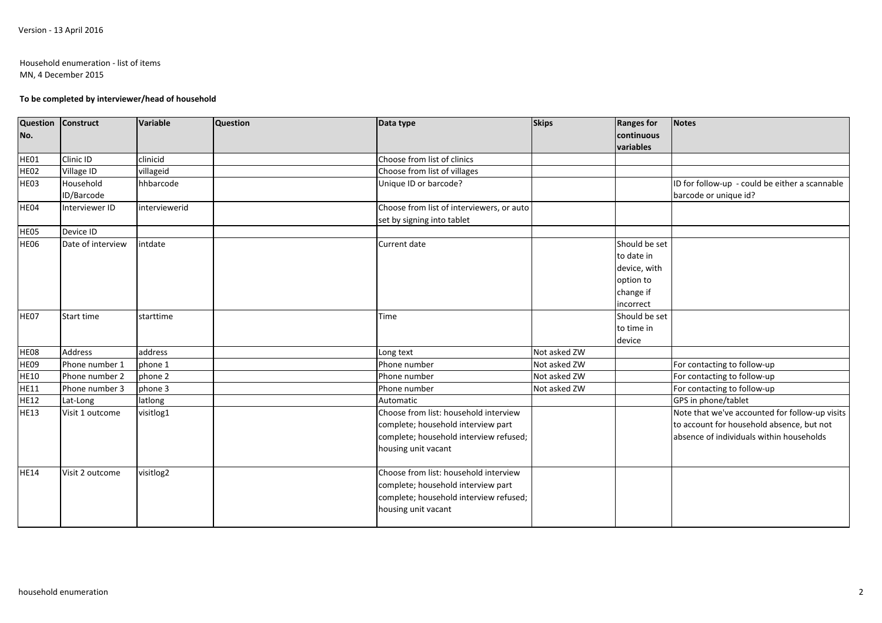### Household enumeration - list of itemsMN, 4 December 2015

### **To be completed by interviewer/head of household**

| No.         | Question Construct | Variable      | <b>Question</b> | Data type                                 | <b>Skips</b> | <b>Ranges for</b><br>continuous | <b>Notes</b>                                   |
|-------------|--------------------|---------------|-----------------|-------------------------------------------|--------------|---------------------------------|------------------------------------------------|
|             |                    |               |                 |                                           |              | variables                       |                                                |
| HE01        | Clinic ID          | clinicid      |                 | Choose from list of clinics               |              |                                 |                                                |
| <b>HE02</b> | Village ID         | villageid     |                 | Choose from list of villages              |              |                                 |                                                |
| HE03        | Household          | hhbarcode     |                 | Unique ID or barcode?                     |              |                                 | ID for follow-up - could be either a scannable |
|             | ID/Barcode         |               |                 |                                           |              |                                 | barcode or unique id?                          |
| HE04        | Interviewer ID     | interviewerid |                 | Choose from list of interviewers, or auto |              |                                 |                                                |
|             |                    |               |                 | set by signing into tablet                |              |                                 |                                                |
| HE05        | Device ID          |               |                 |                                           |              |                                 |                                                |
| HE06        | Date of interview  | intdate       |                 | Current date                              |              | Should be set                   |                                                |
|             |                    |               |                 |                                           |              | to date in                      |                                                |
|             |                    |               |                 |                                           |              | device, with                    |                                                |
|             |                    |               |                 |                                           |              | option to                       |                                                |
|             |                    |               |                 |                                           |              | change if                       |                                                |
|             |                    |               |                 |                                           |              | incorrect                       |                                                |
| HE07        | Start time         | starttime     |                 | <b>Time</b>                               |              | Should be set                   |                                                |
|             |                    |               |                 |                                           |              | to time in                      |                                                |
|             |                    |               |                 |                                           |              | device                          |                                                |
| <b>HE08</b> | <b>Address</b>     | address       |                 | Long text                                 | Not asked ZW |                                 |                                                |
| HE09        | Phone number 1     | phone 1       |                 | Phone number                              | Not asked ZW |                                 | For contacting to follow-up                    |
| <b>HE10</b> | Phone number 2     | phone 2       |                 | Phone number                              | Not asked ZW |                                 | For contacting to follow-up                    |
| <b>HE11</b> | Phone number 3     | phone 3       |                 | Phone number                              | Not asked ZW |                                 | For contacting to follow-up                    |
| <b>HE12</b> | Lat-Long           | latlong       |                 | Automatic                                 |              |                                 | GPS in phone/tablet                            |
| <b>HE13</b> | Visit 1 outcome    | visitlog1     |                 | Choose from list: household interview     |              |                                 | Note that we've accounted for follow-up visits |
|             |                    |               |                 | complete; household interview part        |              |                                 | to account for household absence, but not      |
|             |                    |               |                 | complete; household interview refused;    |              |                                 | absence of individuals within households       |
|             |                    |               |                 | housing unit vacant                       |              |                                 |                                                |
| <b>HE14</b> | Visit 2 outcome    | visitlog2     |                 | Choose from list: household interview     |              |                                 |                                                |
|             |                    |               |                 | complete; household interview part        |              |                                 |                                                |
|             |                    |               |                 | complete; household interview refused;    |              |                                 |                                                |
|             |                    |               |                 | housing unit vacant                       |              |                                 |                                                |
|             |                    |               |                 |                                           |              |                                 |                                                |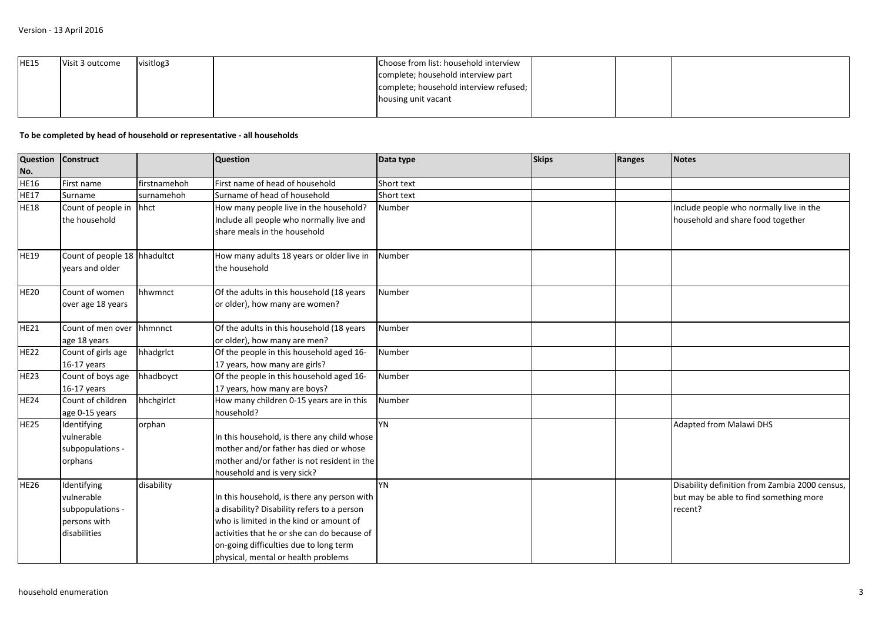| <b>HE15</b> | Visit 3 outcome | visitlog3 | Choose from list: household interview  |  |  |
|-------------|-----------------|-----------|----------------------------------------|--|--|
|             |                 |           | complete; household interview part     |  |  |
|             |                 |           | complete; household interview refused; |  |  |
|             |                 |           | housing unit vacant                    |  |  |
|             |                 |           |                                        |  |  |

## **To be completed by head of household or representative - all households**

| Question Construct |                              |              | <b>Question</b>                              | Data type  | <b>Skips</b> | Ranges | <b>Notes</b>                                   |
|--------------------|------------------------------|--------------|----------------------------------------------|------------|--------------|--------|------------------------------------------------|
| No.                |                              |              |                                              |            |              |        |                                                |
| <b>HE16</b>        | First name                   | firstnamehoh | First name of head of household              | Short text |              |        |                                                |
| <b>HE17</b>        | Surname                      | surnamehoh   | Surname of head of household                 | Short text |              |        |                                                |
| <b>HE18</b>        | Count of people in           | hhct         | How many people live in the household?       | Number     |              |        | Include people who normally live in the        |
|                    | the household                |              | Include all people who normally live and     |            |              |        | household and share food together              |
|                    |                              |              | share meals in the household                 |            |              |        |                                                |
| <b>HE19</b>        | Count of people 18 hhadultct |              | How many adults 18 years or older live in    | Number     |              |        |                                                |
|                    | vears and older              |              | the household                                |            |              |        |                                                |
| <b>HE20</b>        | Count of women               | hhwmnct      | Of the adults in this household (18 years    | Number     |              |        |                                                |
|                    | over age 18 years            |              | or older), how many are women?               |            |              |        |                                                |
| <b>HE21</b>        | Count of men over            | hhmnnct      | Of the adults in this household (18 years    | Number     |              |        |                                                |
|                    | age 18 years                 |              | or older), how many are men?                 |            |              |        |                                                |
| <b>HE22</b>        | Count of girls age           | hhadgrlct    | Of the people in this household aged 16-     | Number     |              |        |                                                |
|                    | $16-17$ years                |              | 17 years, how many are girls?                |            |              |        |                                                |
| <b>HE23</b>        | Count of boys age            | hhadboyct    | Of the people in this household aged 16-     | Number     |              |        |                                                |
|                    | $16-17$ years                |              | 17 years, how many are boys?                 |            |              |        |                                                |
| <b>HE24</b>        | Count of children            | hhchgirlct   | How many children 0-15 years are in this     | Number     |              |        |                                                |
|                    | age 0-15 years               |              | household?                                   |            |              |        |                                                |
| HE <sub>25</sub>   | Identifying                  | orphan       |                                              | <b>YN</b>  |              |        | <b>Adapted from Malawi DHS</b>                 |
|                    | vulnerable                   |              | In this household, is there any child whose  |            |              |        |                                                |
|                    | subpopulations -             |              | mother and/or father has died or whose       |            |              |        |                                                |
|                    | orphans                      |              | mother and/or father is not resident in the  |            |              |        |                                                |
|                    |                              |              | household and is very sick?                  |            |              |        |                                                |
| <b>HE26</b>        | Identifying                  | disability   |                                              | YN         |              |        | Disability definition from Zambia 2000 census, |
|                    | vulnerable                   |              | In this household, is there any person with  |            |              |        | but may be able to find something more         |
|                    | subpopulations -             |              | a disability? Disability refers to a person  |            |              |        | recent?                                        |
|                    | persons with                 |              | who is limited in the kind or amount of      |            |              |        |                                                |
|                    | disabilities                 |              | lactivities that he or she can do because of |            |              |        |                                                |
|                    |                              |              | on-going difficulties due to long term       |            |              |        |                                                |
|                    |                              |              | physical, mental or health problems          |            |              |        |                                                |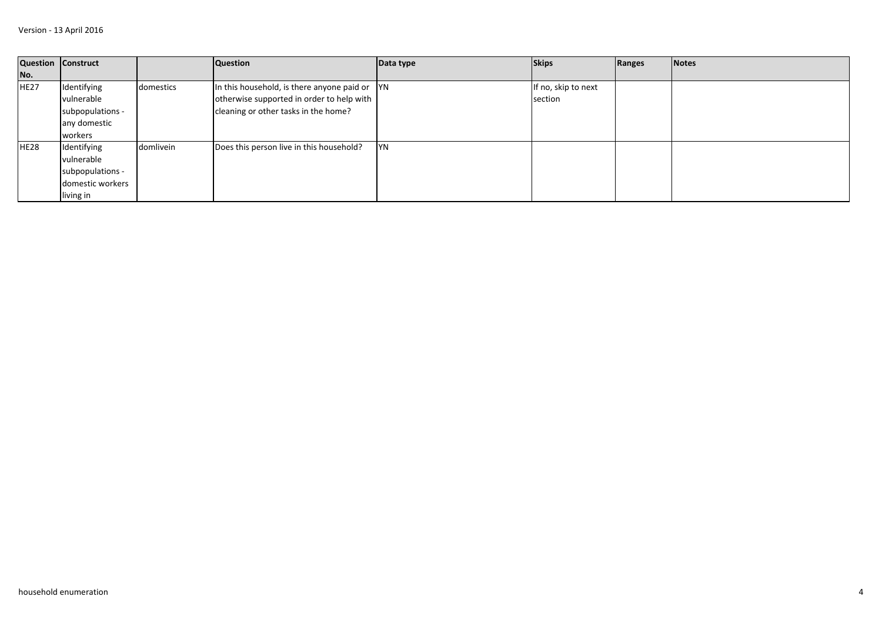| Question Construct |                  |           | <b>Question</b>                                   | Data type | <b>Skips</b>        | Ranges | <b>Notes</b> |
|--------------------|------------------|-----------|---------------------------------------------------|-----------|---------------------|--------|--------------|
| No.                |                  |           |                                                   |           |                     |        |              |
| HE <sub>27</sub>   | Identifying      | domestics | In this household, is there anyone paid or $ YN $ |           | If no, skip to next |        |              |
|                    | vulnerable       |           | otherwise supported in order to help with         |           | section             |        |              |
|                    | subpopulations - |           | cleaning or other tasks in the home?              |           |                     |        |              |
|                    | any domestic     |           |                                                   |           |                     |        |              |
|                    | workers          |           |                                                   |           |                     |        |              |
| HE <sub>28</sub>   | Identifying      | domlivein | Does this person live in this household?          | <b>YN</b> |                     |        |              |
|                    | vulnerable       |           |                                                   |           |                     |        |              |
|                    | subpopulations - |           |                                                   |           |                     |        |              |
|                    | domestic workers |           |                                                   |           |                     |        |              |
|                    | living in        |           |                                                   |           |                     |        |              |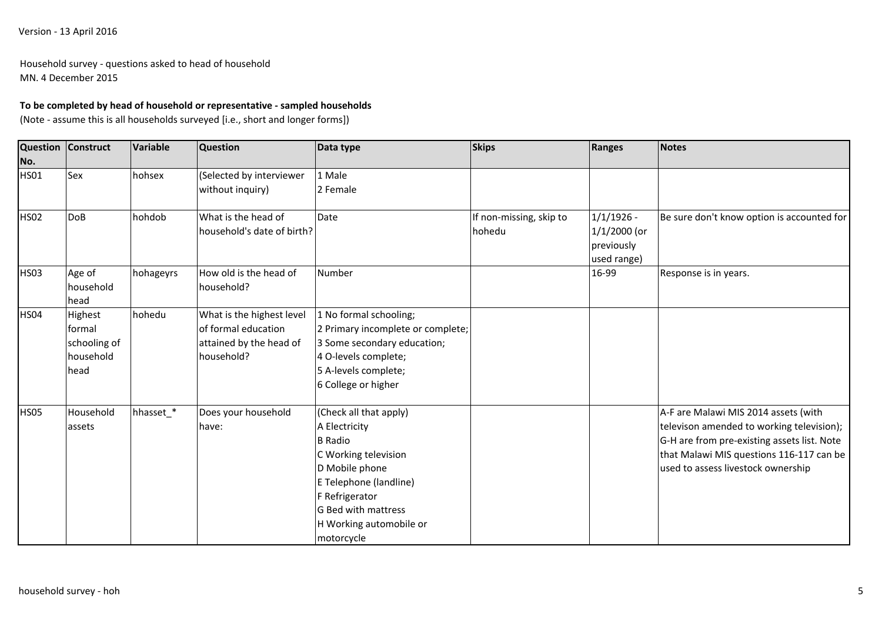Household survey - questions asked to head of householdMN. 4 December 2015

## **To be completed by head of household or representative - sampled households**

(Note - assume this is all households surveyed [i.e., short and longer forms])

| <b>Question</b>    | Construct                                              | Variable  | <b>Question</b>                                                                           | Data type                                                                                                                                                                                                       | <b>Skips</b>                      | Ranges                                                      | <b>Notes</b>                                                                                                                                                                                                       |
|--------------------|--------------------------------------------------------|-----------|-------------------------------------------------------------------------------------------|-----------------------------------------------------------------------------------------------------------------------------------------------------------------------------------------------------------------|-----------------------------------|-------------------------------------------------------------|--------------------------------------------------------------------------------------------------------------------------------------------------------------------------------------------------------------------|
| No.<br><b>HS01</b> | Sex                                                    | hohsex    | (Selected by interviewer<br>without inquiry)                                              | 1 Male<br>2 Female                                                                                                                                                                                              |                                   |                                                             |                                                                                                                                                                                                                    |
| HS <sub>02</sub>   | <b>DoB</b>                                             | hohdob    | What is the head of<br>household's date of birth?                                         | Date                                                                                                                                                                                                            | If non-missing, skip to<br>hohedu | $1/1/1926$ -<br>$1/1/2000$ (or<br>previously<br>used range) | Be sure don't know option is accounted for                                                                                                                                                                         |
| <b>HS03</b>        | Age of<br>household<br>head                            | hohageyrs | How old is the head of<br>household?                                                      | Number                                                                                                                                                                                                          |                                   | 16-99                                                       | Response is in years.                                                                                                                                                                                              |
| <b>HS04</b>        | Highest<br>formal<br>schooling of<br>household<br>head | hohedu    | What is the highest level<br>of formal education<br>attained by the head of<br>household? | 1 No formal schooling;<br>2 Primary incomplete or complete;<br>3 Some secondary education;<br>4 O-levels complete;<br>5 A-levels complete;<br>6 College or higher                                               |                                   |                                                             |                                                                                                                                                                                                                    |
| <b>HS05</b>        | Household<br>assets                                    | hhasset_* | Does your household<br>have:                                                              | (Check all that apply)<br>A Electricity<br><b>B</b> Radio<br>C Working television<br>D Mobile phone<br>E Telephone (landline)<br>F Refrigerator<br>G Bed with mattress<br>H Working automobile or<br>motorcycle |                                   |                                                             | A-F are Malawi MIS 2014 assets (with<br>televison amended to working television);<br>G-H are from pre-existing assets list. Note<br>that Malawi MIS questions 116-117 can be<br>used to assess livestock ownership |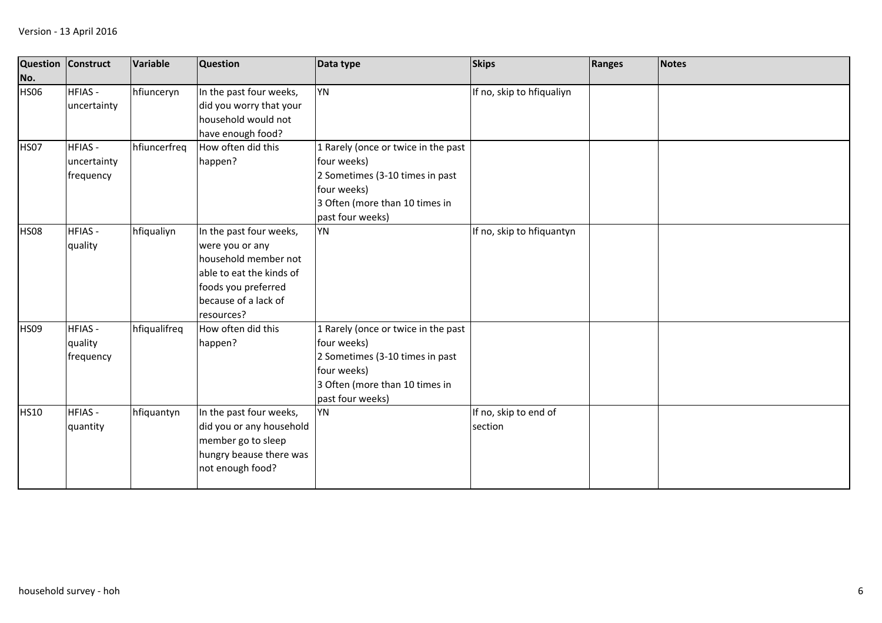| Question<br>No. | Construct                                 | Variable     | <b>Question</b>                                                                                                                                             | Data type                                                                                                                                                  | <b>Skips</b>                     | Ranges | <b>Notes</b> |
|-----------------|-------------------------------------------|--------------|-------------------------------------------------------------------------------------------------------------------------------------------------------------|------------------------------------------------------------------------------------------------------------------------------------------------------------|----------------------------------|--------|--------------|
| <b>HS06</b>     | <b>HFIAS-</b><br>uncertainty              | hfiunceryn   | In the past four weeks,<br>did you worry that your<br>household would not<br>have enough food?                                                              | YN                                                                                                                                                         | If no, skip to hfiqualiyn        |        |              |
| HS07            | <b>HFIAS-</b><br>uncertainty<br>frequency | hfiuncerfreq | How often did this<br>happen?                                                                                                                               | 1 Rarely (once or twice in the past<br>four weeks)<br>2 Sometimes (3-10 times in past<br>four weeks)<br>3 Often (more than 10 times in<br>past four weeks) |                                  |        |              |
| <b>HS08</b>     | <b>HFIAS-</b><br>quality                  | hfiqualiyn   | In the past four weeks,<br>were you or any<br>household member not<br>able to eat the kinds of<br>foods you preferred<br>because of a lack of<br>resources? | <b>YN</b>                                                                                                                                                  | If no, skip to hfiquantyn        |        |              |
| <b>HS09</b>     | <b>HFIAS-</b><br>quality<br>frequency     | hfiqualifreq | How often did this<br>happen?                                                                                                                               | 1 Rarely (once or twice in the past<br>four weeks)<br>2 Sometimes (3-10 times in past<br>four weeks)<br>3 Often (more than 10 times in<br>past four weeks) |                                  |        |              |
| <b>HS10</b>     | <b>HFIAS-</b><br>quantity                 | hfiquantyn   | In the past four weeks,<br>did you or any household<br>member go to sleep<br>hungry beause there was<br>not enough food?                                    | YN                                                                                                                                                         | If no, skip to end of<br>section |        |              |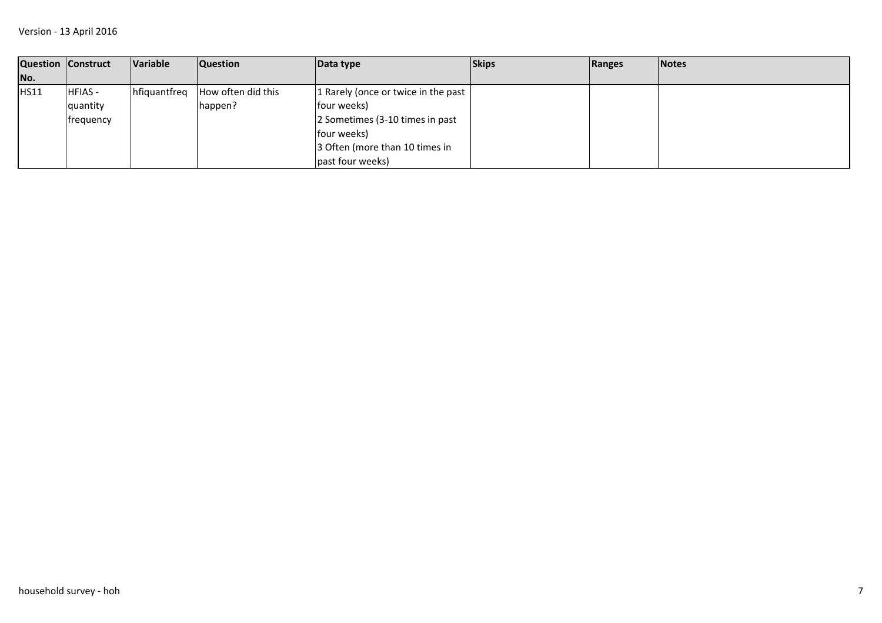|      | <b>Question Construct</b> | Variable     | <b>Question</b>    | Data type                           | <b>Skips</b> | Ranges | <b>Notes</b> |
|------|---------------------------|--------------|--------------------|-------------------------------------|--------------|--------|--------------|
| No.  |                           |              |                    |                                     |              |        |              |
| HS11 | <b>HFIAS-</b>             | hfiquantfreq | How often did this | 1 Rarely (once or twice in the past |              |        |              |
|      | quantity                  |              | happen?            | four weeks)                         |              |        |              |
|      | <b>Ifrequency</b>         |              |                    | 2 Sometimes (3-10 times in past     |              |        |              |
|      |                           |              |                    | four weeks)                         |              |        |              |
|      |                           |              |                    | 3 Often (more than 10 times in      |              |        |              |
|      |                           |              |                    | past four weeks)                    |              |        |              |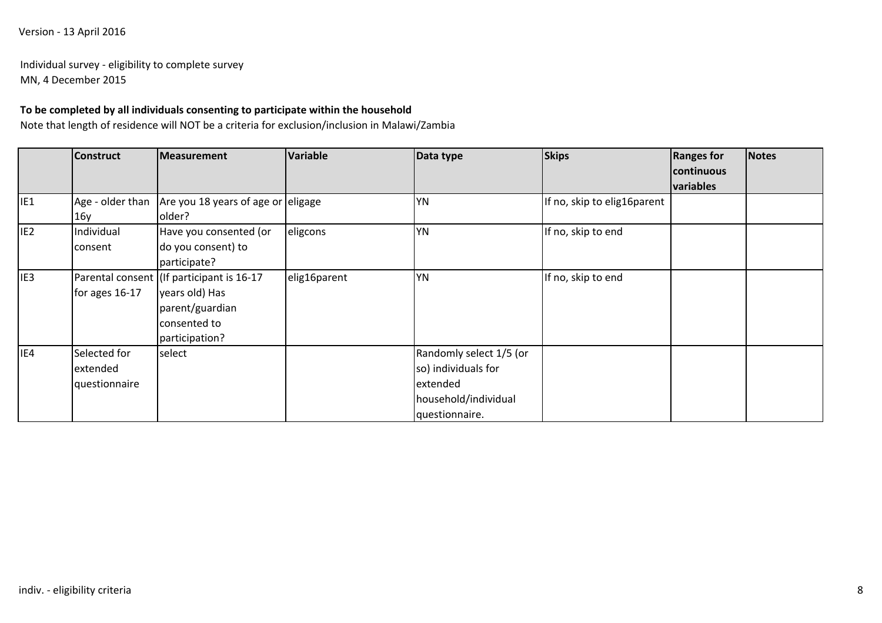# Version - 13 April 2016

# Individual survey - eligibility to complete surveyMN, 4 December 2015

# **To be completed by all individuals consenting to participate within the household**

Note that length of residence will NOT be a criteria for exclusion/inclusion in Malawi/Zambia

|                 | <b>Construct</b> | Measurement                               | <b>Variable</b> | Data type               | <b>Skips</b>                | <b>Ranges for</b><br>continuous | <b>Notes</b> |
|-----------------|------------------|-------------------------------------------|-----------------|-------------------------|-----------------------------|---------------------------------|--------------|
|                 |                  |                                           |                 |                         |                             | variables                       |              |
| IE <sub>1</sub> | Age - older than | Are you 18 years of age or eligage        |                 | <b>YN</b>               | If no, skip to elig16parent |                                 |              |
|                 | 16y              | older?                                    |                 |                         |                             |                                 |              |
| IE <sub>2</sub> | Individual       | Have you consented (or                    | eligcons        | <b>YN</b>               | If no, skip to end          |                                 |              |
|                 | consent          | do you consent) to                        |                 |                         |                             |                                 |              |
|                 |                  | participate?                              |                 |                         |                             |                                 |              |
| IE <sub>3</sub> |                  | Parental consent (If participant is 16-17 | elig16parent    | <b>YN</b>               | If no, skip to end          |                                 |              |
|                 | for ages 16-17   | years old) Has                            |                 |                         |                             |                                 |              |
|                 |                  | parent/guardian                           |                 |                         |                             |                                 |              |
|                 |                  | consented to                              |                 |                         |                             |                                 |              |
|                 |                  | participation?                            |                 |                         |                             |                                 |              |
| IE4             | Selected for     | select                                    |                 | Randomly select 1/5 (or |                             |                                 |              |
|                 | extended         |                                           |                 | so) individuals for     |                             |                                 |              |
|                 | questionnaire    |                                           |                 | extended                |                             |                                 |              |
|                 |                  |                                           |                 | household/individual    |                             |                                 |              |
|                 |                  |                                           |                 | questionnaire.          |                             |                                 |              |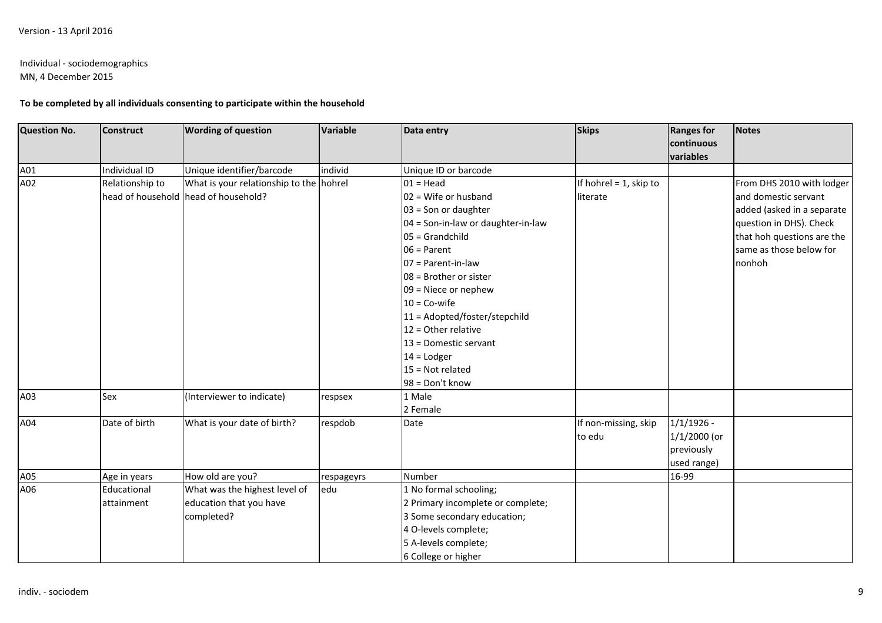# Individual - sociodemographics

MN, 4 December 2015

# **To be completed by all individuals consenting to participate within the household**

| Question No. | <b>Construct</b> | <b>Wording of question</b>              | <b>Variable</b> | Data entry                         | <b>Skips</b>              | <b>Ranges for</b><br>continuous | <b>Notes</b>               |
|--------------|------------------|-----------------------------------------|-----------------|------------------------------------|---------------------------|---------------------------------|----------------------------|
|              |                  |                                         |                 |                                    |                           | variables                       |                            |
| A01          | Individual ID    | Unique identifier/barcode               | individ         | Unique ID or barcode               |                           |                                 |                            |
| A02          | Relationship to  | What is your relationship to the hohrel |                 | $01 = Head$                        | If hohrel $= 1$ , skip to |                                 | From DHS 2010 with lodger  |
|              |                  | head of household head of household?    |                 | $02$ = Wife or husband             | literate                  |                                 | and domestic servant       |
|              |                  |                                         |                 | $03 =$ Son or daughter             |                           |                                 | added (asked in a separate |
|              |                  |                                         |                 | 04 = Son-in-law or daughter-in-law |                           |                                 | question in DHS). Check    |
|              |                  |                                         |                 | $05 = Grandchild$                  |                           |                                 | that hoh questions are the |
|              |                  |                                         |                 | $06 =$ Parent                      |                           |                                 | same as those below for    |
|              |                  |                                         |                 | $07$ = Parent-in-law               |                           |                                 | nonhoh                     |
|              |                  |                                         |                 | $08$ = Brother or sister           |                           |                                 |                            |
|              |                  |                                         |                 | $09$ = Niece or nephew             |                           |                                 |                            |
|              |                  |                                         |                 | $10 = Co-wife$                     |                           |                                 |                            |
|              |                  |                                         |                 | 11 = Adopted/foster/stepchild      |                           |                                 |                            |
|              |                  |                                         |                 | $12 =$ Other relative              |                           |                                 |                            |
|              |                  |                                         |                 | 13 = Domestic servant              |                           |                                 |                            |
|              |                  |                                         |                 | $14 =$ Lodger                      |                           |                                 |                            |
|              |                  |                                         |                 | $15 = Not related$                 |                           |                                 |                            |
|              |                  |                                         |                 | 98 = Don't know                    |                           |                                 |                            |
| A03          | Sex              | (Interviewer to indicate)               | respsex         | 1 Male                             |                           |                                 |                            |
|              |                  |                                         |                 | 2 Female                           |                           |                                 |                            |
| A04          | Date of birth    | What is your date of birth?             | respdob         | Date                               | If non-missing, skip      | $1/1/1926$ -                    |                            |
|              |                  |                                         |                 |                                    | to edu                    | $1/1/2000$ (or                  |                            |
|              |                  |                                         |                 |                                    |                           | previously                      |                            |
|              |                  |                                         |                 |                                    |                           | used range)                     |                            |
| A05          | Age in years     | How old are you?                        | respageyrs      | Number                             |                           | 16-99                           |                            |
| A06          | Educational      | What was the highest level of           | edu             | 1 No formal schooling;             |                           |                                 |                            |
|              | attainment       | education that you have                 |                 | 2 Primary incomplete or complete;  |                           |                                 |                            |
|              |                  | completed?                              |                 | 3 Some secondary education;        |                           |                                 |                            |
|              |                  |                                         |                 | 4 O-levels complete;               |                           |                                 |                            |
|              |                  |                                         |                 | 5 A-levels complete;               |                           |                                 |                            |
|              |                  |                                         |                 | 6 College or higher                |                           |                                 |                            |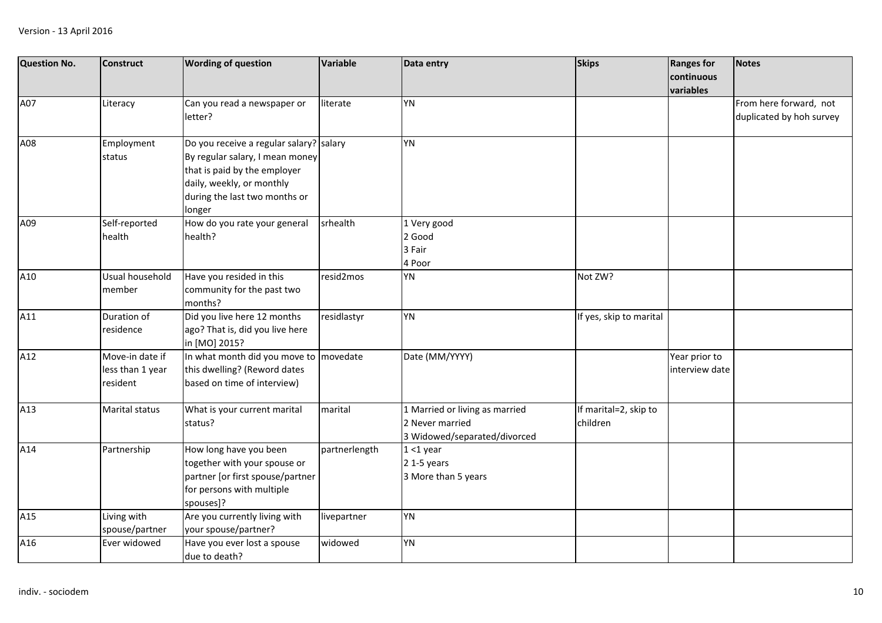| <b>Question No.</b> | <b>Construct</b>                                | <b>Wording of question</b>                                                                                                                                                         | Variable      | Data entry                                                                        | <b>Skips</b>                      | <b>Ranges for</b><br>continuous | <b>Notes</b>                                       |
|---------------------|-------------------------------------------------|------------------------------------------------------------------------------------------------------------------------------------------------------------------------------------|---------------|-----------------------------------------------------------------------------------|-----------------------------------|---------------------------------|----------------------------------------------------|
|                     |                                                 |                                                                                                                                                                                    |               |                                                                                   |                                   | variables                       |                                                    |
| A07                 | Literacy                                        | Can you read a newspaper or<br>letter?                                                                                                                                             | literate      | <b>YN</b>                                                                         |                                   |                                 | From here forward, not<br>duplicated by hoh survey |
| A08                 | Employment<br>status                            | Do you receive a regular salary? salary<br>By regular salary, I mean money<br>that is paid by the employer<br>daily, weekly, or monthly<br>during the last two months or<br>longer |               | <b>YN</b>                                                                         |                                   |                                 |                                                    |
| A09                 | Self-reported<br>health                         | How do you rate your general<br>health?                                                                                                                                            | srhealth      | 1 Very good<br>2 Good<br>3 Fair<br>4 Poor                                         |                                   |                                 |                                                    |
| A10                 | Usual household<br>member                       | Have you resided in this<br>community for the past two<br>months?                                                                                                                  | resid2mos     | <b>YN</b>                                                                         | Not ZW?                           |                                 |                                                    |
| A11                 | Duration of<br>residence                        | Did you live here 12 months<br>ago? That is, did you live here<br>in [MO] 2015?                                                                                                    | residlastyr   | <b>YN</b>                                                                         | If yes, skip to marital           |                                 |                                                    |
| A12                 | Move-in date if<br>less than 1 year<br>resident | In what month did you move to movedate<br>this dwelling? (Reword dates<br>based on time of interview)                                                                              |               | Date (MM/YYYY)                                                                    |                                   | Year prior to<br>interview date |                                                    |
| A13                 | <b>Marital status</b>                           | What is your current marital<br>status?                                                                                                                                            | marital       | 1 Married or living as married<br>2 Never married<br>3 Widowed/separated/divorced | If marital=2, skip to<br>children |                                 |                                                    |
| A14                 | Partnership                                     | How long have you been<br>together with your spouse or<br>partner [or first spouse/partner<br>for persons with multiple<br>spouses]?                                               | partnerlength | $1 < 1$ year<br>2 1-5 years<br>3 More than 5 years                                |                                   |                                 |                                                    |
| A15                 | Living with<br>spouse/partner                   | Are you currently living with<br>your spouse/partner?                                                                                                                              | livepartner   | <b>YN</b>                                                                         |                                   |                                 |                                                    |
| A16                 | Ever widowed                                    | Have you ever lost a spouse<br>due to death?                                                                                                                                       | widowed       | <b>YN</b>                                                                         |                                   |                                 |                                                    |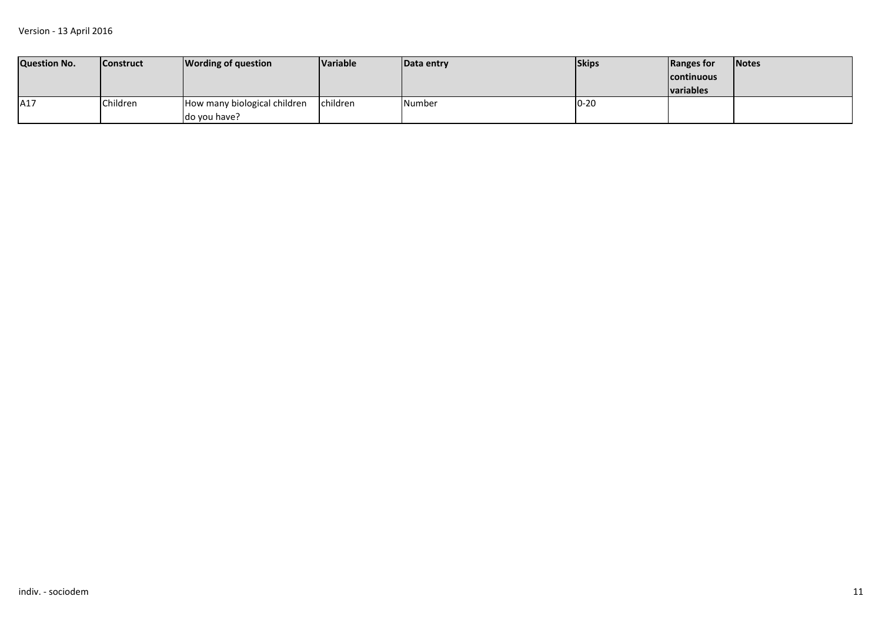| <b>Question No.</b> | <b>Construct</b> | <b>Wording of question</b>   | <b>Variable</b> | Data entry | <b>Skips</b> | Ranges for        | <b>Notes</b> |
|---------------------|------------------|------------------------------|-----------------|------------|--------------|-------------------|--------------|
|                     |                  |                              |                 |            |              | <b>continuous</b> |              |
|                     |                  |                              |                 |            |              | <b>Ivariables</b> |              |
| A17                 | Children         | How many biological children | children        | Number     | $10 - 20$    |                   |              |
|                     |                  | do you have?                 |                 |            |              |                   |              |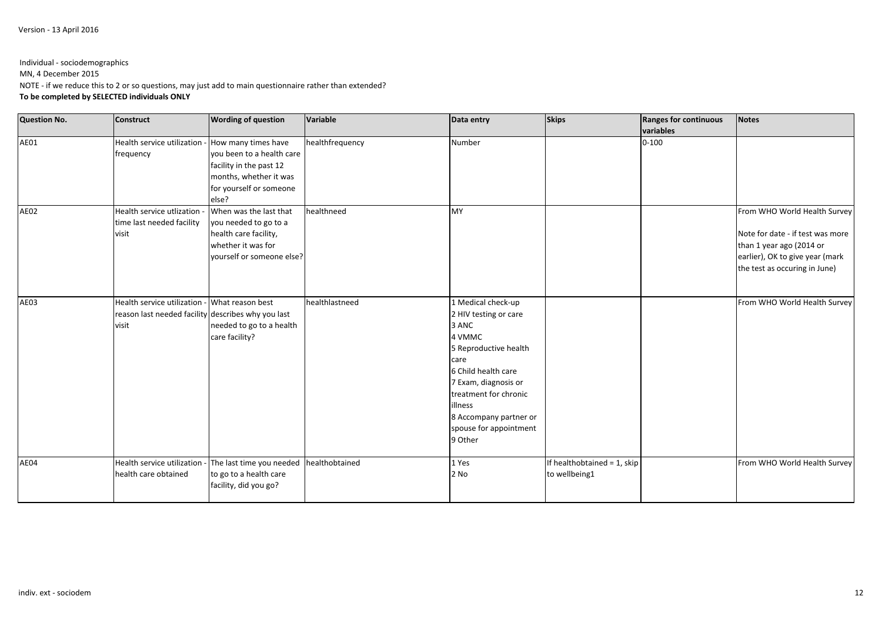Individual - sociodemographicsMN, 4 December 2015 NOTE - if we reduce this to 2 or so questions, may just add to main questionnaire rather than extended?**To be completed by SELECTED individuals ONLY**

| <b>Question No.</b> | <b>Construct</b>                                                                                             | <b>Wording of question</b>                                                                                                  | Variable        | Data entry                                                                                                                                                                                                                                        | <b>Skips</b>                                 | <b>Ranges for continuous</b><br>variables | <b>Notes</b>                                                                                                                                                     |
|---------------------|--------------------------------------------------------------------------------------------------------------|-----------------------------------------------------------------------------------------------------------------------------|-----------------|---------------------------------------------------------------------------------------------------------------------------------------------------------------------------------------------------------------------------------------------------|----------------------------------------------|-------------------------------------------|------------------------------------------------------------------------------------------------------------------------------------------------------------------|
| AE01                | Health service utilization - How many times have<br>frequency                                                | you been to a health care<br>facility in the past 12<br>months, whether it was<br>for yourself or someone<br>else?          | healthfrequency | Number                                                                                                                                                                                                                                            |                                              | $0 - 100$                                 |                                                                                                                                                                  |
| AE02                | Health service utlization -<br>time last needed facility<br>visit                                            | When was the last that<br>you needed to go to a<br>health care facility,<br>whether it was for<br>yourself or someone else? | healthneed      | <b>MY</b>                                                                                                                                                                                                                                         |                                              |                                           | From WHO World Health Survey<br>Note for date - if test was more<br>than 1 year ago (2014 or<br>earlier), OK to give year (mark<br>the test as occuring in June) |
| AE03                | Health service utilization - What reason best<br>reason last needed facility describes why you last<br>visit | needed to go to a health<br>care facility?                                                                                  | healthlastneed  | 1 Medical check-up<br>2 HIV testing or care<br>3 ANC<br>4 VMMC<br>5 Reproductive health<br>care<br>6 Child health care<br>7 Exam, diagnosis or<br>treatment for chronic<br>illness<br>8 Accompany partner or<br>spouse for appointment<br>9 Other |                                              |                                           | From WHO World Health Survey                                                                                                                                     |
| AE04                | Health service utilization -<br>health care obtained                                                         | The last time you needed<br>to go to a health care<br>facility, did you go?                                                 | healthobtained  | 1 Yes<br>2 No                                                                                                                                                                                                                                     | If healthobtained = 1, skip<br>to wellbeing1 |                                           | From WHO World Health Survey                                                                                                                                     |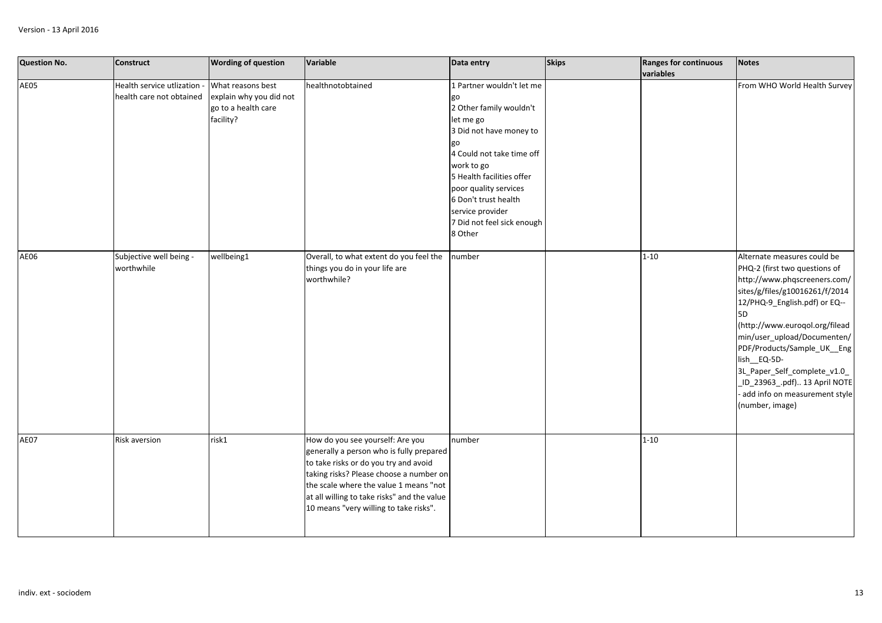| <b>Question No.</b> | <b>Construct</b>                                        | <b>Wording of question</b>                                                       | Variable                                                                                                                                                                                                                                                                                            | Data entry                                                                                                                                                                                                                                                                               | <b>Skips</b> | <b>Ranges for continuous</b><br>variables | <b>Notes</b>                                                                                                                                                                                                                                                                                                                                                                                              |
|---------------------|---------------------------------------------------------|----------------------------------------------------------------------------------|-----------------------------------------------------------------------------------------------------------------------------------------------------------------------------------------------------------------------------------------------------------------------------------------------------|------------------------------------------------------------------------------------------------------------------------------------------------------------------------------------------------------------------------------------------------------------------------------------------|--------------|-------------------------------------------|-----------------------------------------------------------------------------------------------------------------------------------------------------------------------------------------------------------------------------------------------------------------------------------------------------------------------------------------------------------------------------------------------------------|
| AE05                | Health service utlization -<br>health care not obtained | What reasons best<br>explain why you did not<br>go to a health care<br>facility? | healthnotobtained                                                                                                                                                                                                                                                                                   | 1 Partner wouldn't let me<br>go<br>2 Other family wouldn't<br>let me go<br>3 Did not have money to<br>4 Could not take time off<br>work to go<br>5 Health facilities offer<br>poor quality services<br>6 Don't trust health<br>service provider<br>7 Did not feel sick enough<br>8 Other |              |                                           | From WHO World Health Survey                                                                                                                                                                                                                                                                                                                                                                              |
| <b>AE06</b>         | Subjective well being -<br>worthwhile                   | wellbeing1                                                                       | Overall, to what extent do you feel the<br>things you do in your life are<br>worthwhile?                                                                                                                                                                                                            | number                                                                                                                                                                                                                                                                                   |              | $1 - 10$                                  | Alternate measures could be<br>PHQ-2 (first two questions of<br>http://www.phqscreeners.com/<br>sites/g/files/g10016261/f/2014<br>12/PHQ-9_English.pdf) or EQ--<br>5D<br>(http://www.euroqol.org/filead<br>min/user_upload/Documenten/<br>PDF/Products/Sample_UK__Eng<br>lish_EQ-5D-<br>3L_Paper_Self_complete_v1.0_<br>_ID_23963_.pdf) 13 April NOTE<br>add info on measurement style<br>(number, image) |
| AE07                | <b>Risk aversion</b>                                    | risk1                                                                            | How do you see yourself: Are you<br>generally a person who is fully prepared<br>to take risks or do you try and avoid<br>taking risks? Please choose a number on<br>the scale where the value 1 means "not<br>at all willing to take risks" and the value<br>10 means "very willing to take risks". | number                                                                                                                                                                                                                                                                                   |              | $1 - 10$                                  |                                                                                                                                                                                                                                                                                                                                                                                                           |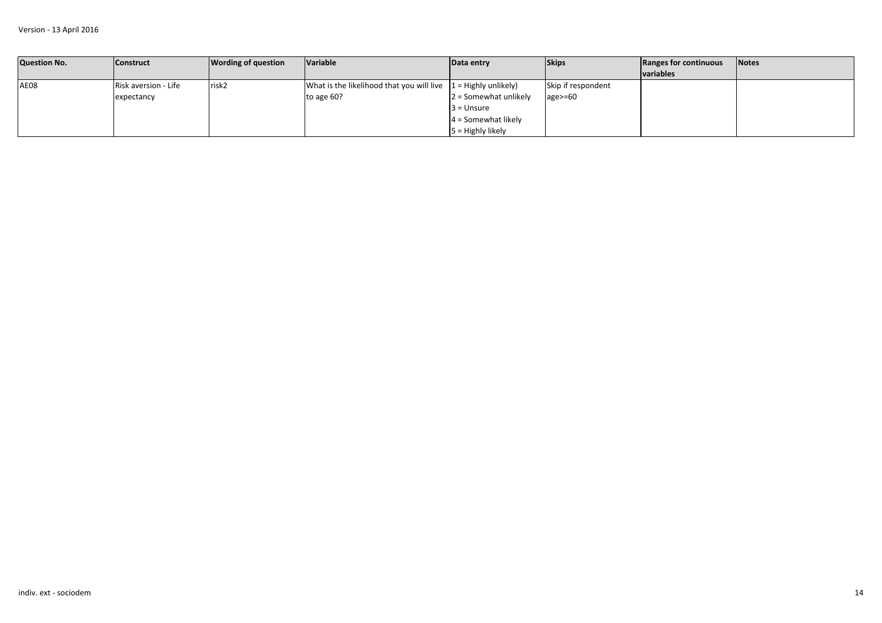| <b>Question No.</b> | <b>Construct</b>     | <b>Wording of question</b> | <b>Variable</b>                                                 | Data entry              | <b>Skips</b>       | Ranges for continuous | <b>Notes</b> |
|---------------------|----------------------|----------------------------|-----------------------------------------------------------------|-------------------------|--------------------|-----------------------|--------------|
|                     |                      |                            |                                                                 |                         |                    | <b>variables</b>      |              |
| AE08                | Risk aversion - Life | risk2                      | What is the likelihood that you will live $1 =$ Highly unlikely |                         | Skip if respondent |                       |              |
|                     | expectancy           |                            | to age 60?                                                      | $2 =$ Somewhat unlikely | $age = 60$         |                       |              |
|                     |                      |                            |                                                                 | l3 = Unsure             |                    |                       |              |
|                     |                      |                            |                                                                 | $4 =$ Somewhat likely   |                    |                       |              |
|                     |                      |                            |                                                                 | $5 =$ Highly likely     |                    |                       |              |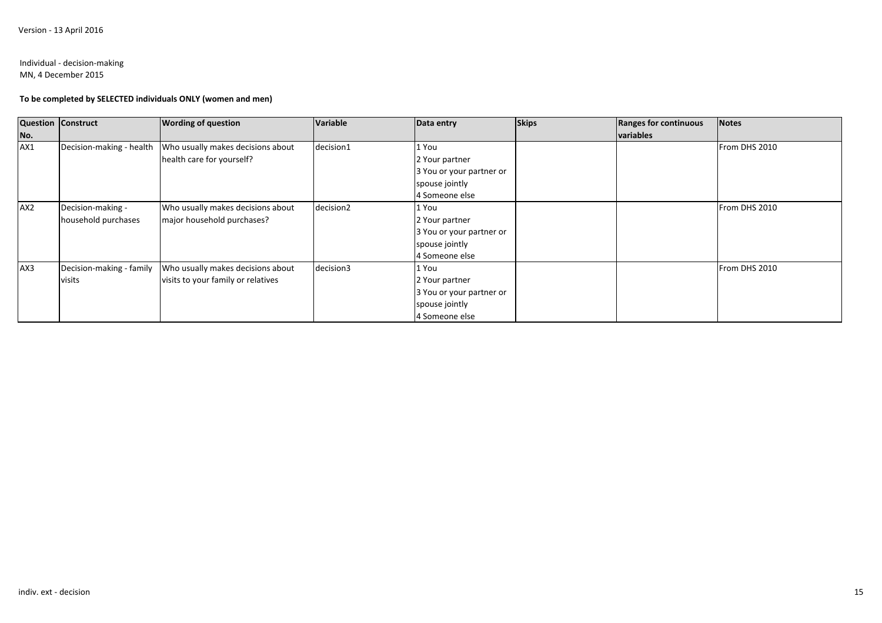### Individual - decision-makingMN, 4 December 2015

## **To be completed by SELECTED individuals ONLY (women and men)**

| <b>Question Construct</b> |                          | <b>Wording of question</b>         | Variable  | Data entry               | <b>Skips</b> | Ranges for continuous | <b>Notes</b>  |
|---------------------------|--------------------------|------------------------------------|-----------|--------------------------|--------------|-----------------------|---------------|
| No.                       |                          |                                    |           |                          |              | variables             |               |
| AX1                       | Decision-making - health | Who usually makes decisions about  | decision1 | 1 You                    |              |                       | From DHS 2010 |
|                           |                          | health care for yourself?          |           | 2 Your partner           |              |                       |               |
|                           |                          |                                    |           | 3 You or your partner or |              |                       |               |
|                           |                          |                                    |           | spouse jointly           |              |                       |               |
|                           |                          |                                    |           | 4 Someone else           |              |                       |               |
| AX <sub>2</sub>           | Decision-making -        | Who usually makes decisions about  | decision2 | 1 You                    |              |                       | From DHS 2010 |
|                           | household purchases      | major household purchases?         |           | 2 Your partner           |              |                       |               |
|                           |                          |                                    |           | 3 You or your partner or |              |                       |               |
|                           |                          |                                    |           | spouse jointly           |              |                       |               |
|                           |                          |                                    |           | 4 Someone else           |              |                       |               |
| AX3                       | Decision-making - family | Who usually makes decisions about  | decision3 | 1 You                    |              |                       | From DHS 2010 |
|                           | visits                   | visits to your family or relatives |           | 2 Your partner           |              |                       |               |
|                           |                          |                                    |           | 3 You or your partner or |              |                       |               |
|                           |                          |                                    |           | spouse jointly           |              |                       |               |
|                           |                          |                                    |           | 4 Someone else           |              |                       |               |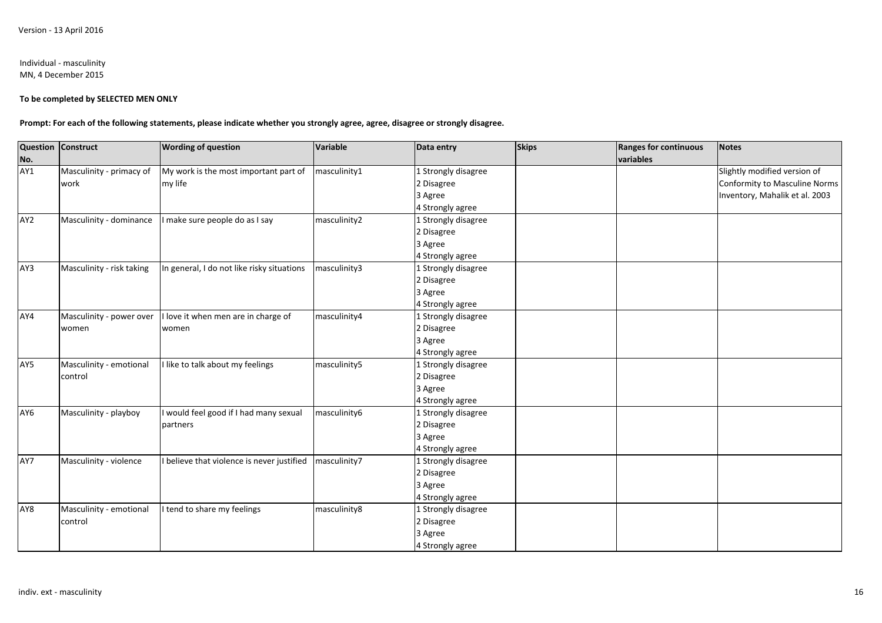### Individual - masculinityMN, 4 December 2015

### **To be completed by SELECTED MEN ONLY**

**Prompt: For each of the following statements, please indicate whether you strongly agree, agree, disagree or strongly disagree.**

|                 | <b>Question Construct</b> | <b>Wording of question</b>                 | Variable     | Data entry          | <b>Skips</b> | <b>Ranges for continuous</b> | <b>Notes</b>                   |
|-----------------|---------------------------|--------------------------------------------|--------------|---------------------|--------------|------------------------------|--------------------------------|
| No.             |                           |                                            |              |                     |              | variables                    |                                |
| AY1             | Masculinity - primacy of  | My work is the most important part of      | masculinity1 | 1 Strongly disagree |              |                              | Slightly modified version of   |
|                 | work                      | my life                                    |              | 2 Disagree          |              |                              | Conformity to Masculine Norms  |
|                 |                           |                                            |              | 3 Agree             |              |                              | Inventory, Mahalik et al. 2003 |
|                 |                           |                                            |              | 4 Strongly agree    |              |                              |                                |
| AY <sub>2</sub> | Masculinity - dominance   | I make sure people do as I say             | masculinity2 | 1 Strongly disagree |              |                              |                                |
|                 |                           |                                            |              | 2 Disagree          |              |                              |                                |
|                 |                           |                                            |              | 3 Agree             |              |                              |                                |
|                 |                           |                                            |              | 4 Strongly agree    |              |                              |                                |
| AY3             | Masculinity - risk taking | In general, I do not like risky situations | masculinity3 | 1 Strongly disagree |              |                              |                                |
|                 |                           |                                            |              | 2 Disagree          |              |                              |                                |
|                 |                           |                                            |              | 3 Agree             |              |                              |                                |
|                 |                           |                                            |              | 4 Strongly agree    |              |                              |                                |
| AY4             | Masculinity - power over  | I love it when men are in charge of        | masculinity4 | 1 Strongly disagree |              |                              |                                |
|                 | women                     | women                                      |              | 2 Disagree          |              |                              |                                |
|                 |                           |                                            |              | 3 Agree             |              |                              |                                |
|                 |                           |                                            |              | 4 Strongly agree    |              |                              |                                |
| AY5             | Masculinity - emotional   | I like to talk about my feelings           | masculinity5 | 1 Strongly disagree |              |                              |                                |
|                 | control                   |                                            |              | 2 Disagree          |              |                              |                                |
|                 |                           |                                            |              | 3 Agree             |              |                              |                                |
|                 |                           |                                            |              | 4 Strongly agree    |              |                              |                                |
| AY6             | Masculinity - playboy     | I would feel good if I had many sexual     | masculinity6 | 1 Strongly disagree |              |                              |                                |
|                 |                           | partners                                   |              | 2 Disagree          |              |                              |                                |
|                 |                           |                                            |              | 3 Agree             |              |                              |                                |
|                 |                           |                                            |              | 4 Strongly agree    |              |                              |                                |
| AY7             | Masculinity - violence    | I believe that violence is never justified | masculinity7 | 1 Strongly disagree |              |                              |                                |
|                 |                           |                                            |              | 2 Disagree          |              |                              |                                |
|                 |                           |                                            |              | 3 Agree             |              |                              |                                |
|                 |                           |                                            |              | 4 Strongly agree    |              |                              |                                |
| AY8             | Masculinity - emotional   | I tend to share my feelings                | masculinity8 | 1 Strongly disagree |              |                              |                                |
|                 | control                   |                                            |              | 2 Disagree          |              |                              |                                |
|                 |                           |                                            |              | 3 Agree             |              |                              |                                |
|                 |                           |                                            |              | 4 Strongly agree    |              |                              |                                |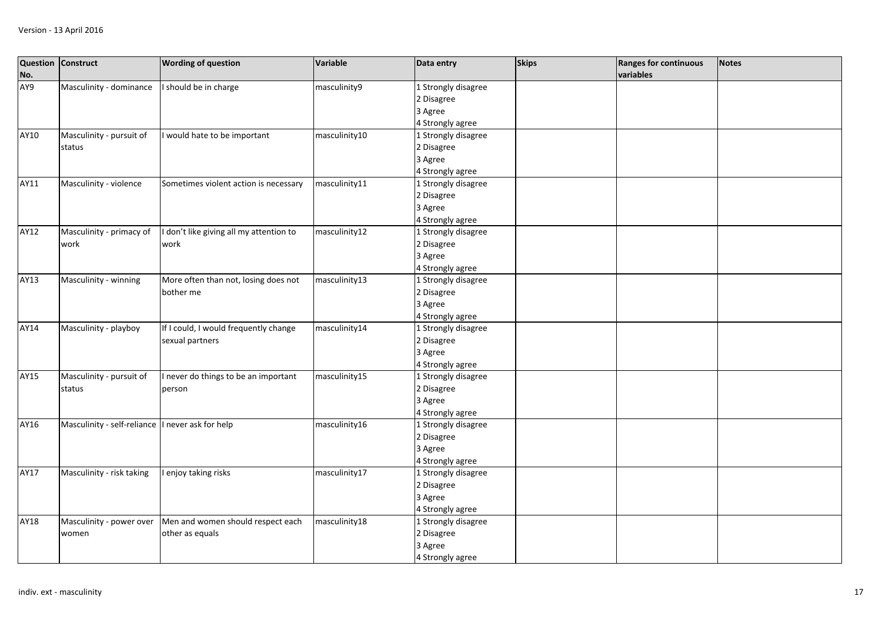| No.  | Question Construct                               | <b>Wording of question</b>            | Variable      | Data entry          | <b>Skips</b> | <b>Ranges for continuous</b><br>variables | <b>Notes</b> |
|------|--------------------------------------------------|---------------------------------------|---------------|---------------------|--------------|-------------------------------------------|--------------|
| AY9  | Masculinity - dominance                          | I should be in charge                 | masculinity9  | 1 Strongly disagree |              |                                           |              |
|      |                                                  |                                       |               | 2 Disagree          |              |                                           |              |
|      |                                                  |                                       |               | 3 Agree             |              |                                           |              |
|      |                                                  |                                       |               | 4 Strongly agree    |              |                                           |              |
| AY10 | Masculinity - pursuit of                         | I would hate to be important          | masculinity10 | 1 Strongly disagree |              |                                           |              |
|      | status                                           |                                       |               | 2 Disagree          |              |                                           |              |
|      |                                                  |                                       |               | 3 Agree             |              |                                           |              |
|      |                                                  |                                       |               | 4 Strongly agree    |              |                                           |              |
| AY11 | Masculinity - violence                           | Sometimes violent action is necessary | masculinity11 | 1 Strongly disagree |              |                                           |              |
|      |                                                  |                                       |               | 2 Disagree          |              |                                           |              |
|      |                                                  |                                       |               | 3 Agree             |              |                                           |              |
|      |                                                  |                                       |               | 4 Strongly agree    |              |                                           |              |
| AY12 | Masculinity - primacy of                         | don't like giving all my attention to | masculinity12 | 1 Strongly disagree |              |                                           |              |
|      | work                                             | work                                  |               | 2 Disagree          |              |                                           |              |
|      |                                                  |                                       |               | 3 Agree             |              |                                           |              |
|      |                                                  |                                       |               | 4 Strongly agree    |              |                                           |              |
| AY13 | Masculinity - winning                            | More often than not, losing does not  | masculinity13 | 1 Strongly disagree |              |                                           |              |
|      |                                                  | bother me                             |               | 2 Disagree          |              |                                           |              |
|      |                                                  |                                       |               | 3 Agree             |              |                                           |              |
|      |                                                  |                                       |               | 4 Strongly agree    |              |                                           |              |
| AY14 | Masculinity - playboy                            | If I could, I would frequently change | masculinity14 | 1 Strongly disagree |              |                                           |              |
|      |                                                  | sexual partners                       |               | 2 Disagree          |              |                                           |              |
|      |                                                  |                                       |               | 3 Agree             |              |                                           |              |
|      |                                                  |                                       |               | 4 Strongly agree    |              |                                           |              |
| AY15 | Masculinity - pursuit of                         | I never do things to be an important  | masculinity15 | 1 Strongly disagree |              |                                           |              |
|      | status                                           | person                                |               | 2 Disagree          |              |                                           |              |
|      |                                                  |                                       |               | 3 Agree             |              |                                           |              |
|      |                                                  |                                       |               | 4 Strongly agree    |              |                                           |              |
| AY16 | Masculinity - self-reliance I never ask for help |                                       | masculinity16 | 1 Strongly disagree |              |                                           |              |
|      |                                                  |                                       |               | 2 Disagree          |              |                                           |              |
|      |                                                  |                                       |               | 3 Agree             |              |                                           |              |
|      |                                                  |                                       |               | 4 Strongly agree    |              |                                           |              |
| AY17 | Masculinity - risk taking                        | I enjoy taking risks                  | masculinity17 | 1 Strongly disagree |              |                                           |              |
|      |                                                  |                                       |               | 2 Disagree          |              |                                           |              |
|      |                                                  |                                       |               | 3 Agree             |              |                                           |              |
|      |                                                  |                                       |               | 4 Strongly agree    |              |                                           |              |
| AY18 | Masculinity - power over                         | Men and women should respect each     | masculinity18 | 1 Strongly disagree |              |                                           |              |
|      | women                                            | other as equals                       |               | 2 Disagree          |              |                                           |              |
|      |                                                  |                                       |               | 3 Agree             |              |                                           |              |
|      |                                                  |                                       |               | 4 Strongly agree    |              |                                           |              |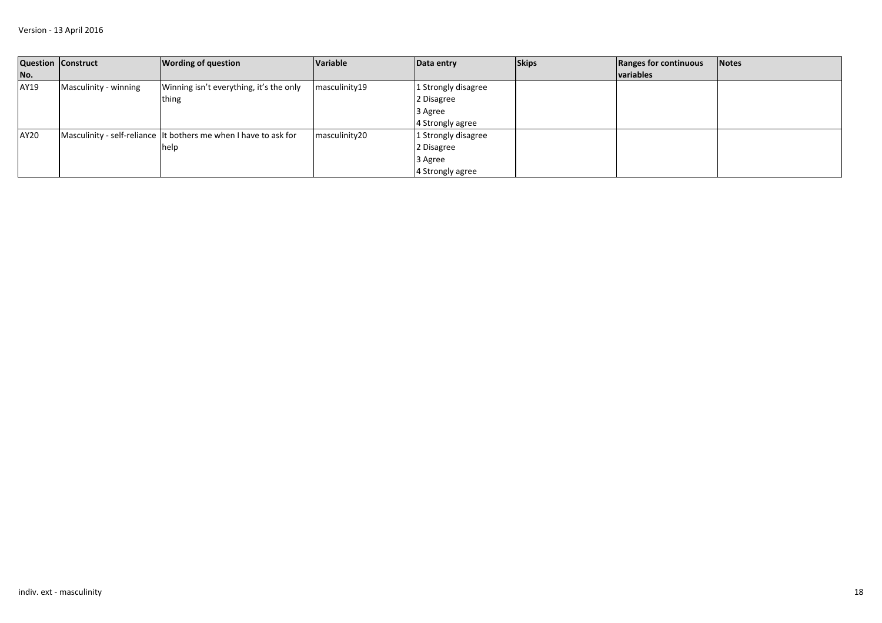|      | Question Construct    | <b>Wording of question</b>                                       | Variable      | Data entry          | <b>Skips</b> | Ranges for continuous | <b>Notes</b> |
|------|-----------------------|------------------------------------------------------------------|---------------|---------------------|--------------|-----------------------|--------------|
| No.  |                       |                                                                  |               |                     |              | <b>variables</b>      |              |
| AY19 | Masculinity - winning | Winning isn't everything, it's the only                          | masculinity19 | 1 Strongly disagree |              |                       |              |
|      |                       | thing                                                            |               | 2 Disagree          |              |                       |              |
|      |                       |                                                                  |               | 3 Agree             |              |                       |              |
|      |                       |                                                                  |               | 4 Strongly agree    |              |                       |              |
| AY20 |                       | Masculinity - self-reliance It bothers me when I have to ask for | masculinity20 | 1 Strongly disagree |              |                       |              |
|      |                       | help                                                             |               | 2 Disagree          |              |                       |              |
|      |                       |                                                                  |               | 3 Agree             |              |                       |              |
|      |                       |                                                                  |               | 4 Strongly agree    |              |                       |              |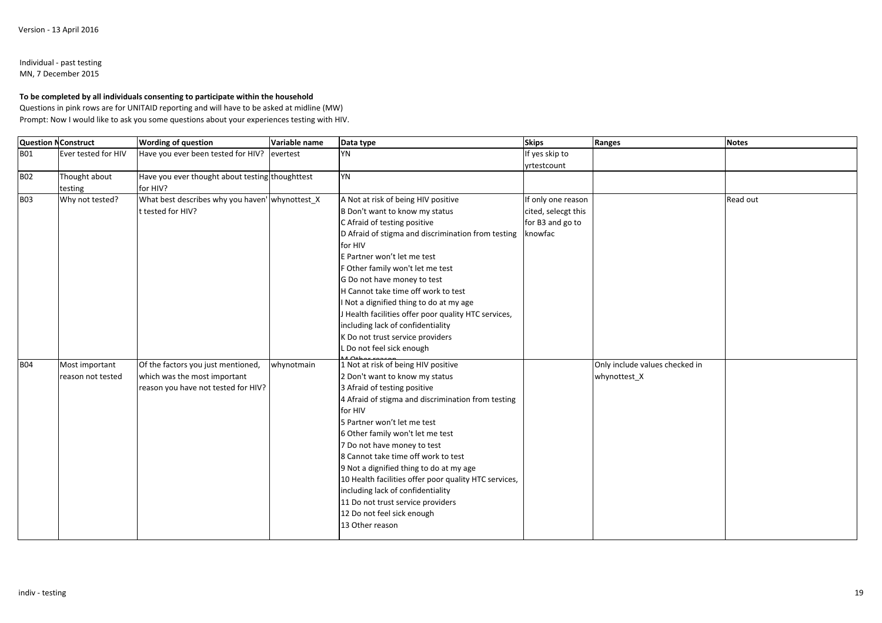### Individual - past testingMN, 7 December 2015

**To be completed by all individuals consenting to participate within the household**

 Questions in pink rows are for UNITAID reporting and will have to be asked at midline (MW) Prompt: Now I would like to ask you some questions about your experiences testing with HIV.

| <b>Question NConstruct</b> |                     | <b>Wording of question</b>                      | Variable name | Data type                                             | <b>Skips</b>        | Ranges                         | <b>Notes</b> |
|----------------------------|---------------------|-------------------------------------------------|---------------|-------------------------------------------------------|---------------------|--------------------------------|--------------|
| <b>BO1</b>                 | Ever tested for HIV | Have you ever been tested for HIV?              | evertest      | YN                                                    | If yes skip to      |                                |              |
|                            |                     |                                                 |               |                                                       | yrtestcount         |                                |              |
| <b>B02</b>                 | Thought about       | Have you ever thought about testing thoughttest |               | <b>YN</b>                                             |                     |                                |              |
|                            | testing             | for HIV?                                        |               |                                                       |                     |                                |              |
| <b>B03</b>                 | Why not tested?     | What best describes why you haven' whynottest_X |               | A Not at risk of being HIV positive                   | If only one reason  |                                | Read out     |
|                            |                     | t tested for HIV?                               |               | B Don't want to know my status                        | cited, selecgt this |                                |              |
|                            |                     |                                                 |               | C Afraid of testing positive                          | for B3 and go to    |                                |              |
|                            |                     |                                                 |               | D Afraid of stigma and discrimination from testing    | knowfac             |                                |              |
|                            |                     |                                                 |               | for HIV                                               |                     |                                |              |
|                            |                     |                                                 |               | E Partner won't let me test                           |                     |                                |              |
|                            |                     |                                                 |               | F Other family won't let me test                      |                     |                                |              |
|                            |                     |                                                 |               | G Do not have money to test                           |                     |                                |              |
|                            |                     |                                                 |               | H Cannot take time off work to test                   |                     |                                |              |
|                            |                     |                                                 |               | I Not a dignified thing to do at my age               |                     |                                |              |
|                            |                     |                                                 |               | J Health facilities offer poor quality HTC services,  |                     |                                |              |
|                            |                     |                                                 |               | including lack of confidentiality                     |                     |                                |              |
|                            |                     |                                                 |               | K Do not trust service providers                      |                     |                                |              |
|                            |                     |                                                 |               | L Do not feel sick enough                             |                     |                                |              |
| <b>B04</b>                 | Most important      | Of the factors you just mentioned,              | whynotmain    | 1 Not at risk of being HIV positive                   |                     | Only include values checked in |              |
|                            | reason not tested   | which was the most important                    |               | 2 Don't want to know my status                        |                     | whynottest_X                   |              |
|                            |                     | reason you have not tested for HIV?             |               | 3 Afraid of testing positive                          |                     |                                |              |
|                            |                     |                                                 |               | 4 Afraid of stigma and discrimination from testing    |                     |                                |              |
|                            |                     |                                                 |               | for HIV                                               |                     |                                |              |
|                            |                     |                                                 |               | 5 Partner won't let me test                           |                     |                                |              |
|                            |                     |                                                 |               | 6 Other family won't let me test                      |                     |                                |              |
|                            |                     |                                                 |               | 7 Do not have money to test                           |                     |                                |              |
|                            |                     |                                                 |               | 8 Cannot take time off work to test                   |                     |                                |              |
|                            |                     |                                                 |               | 9 Not a dignified thing to do at my age               |                     |                                |              |
|                            |                     |                                                 |               | 10 Health facilities offer poor quality HTC services, |                     |                                |              |
|                            |                     |                                                 |               | including lack of confidentiality                     |                     |                                |              |
|                            |                     |                                                 |               | 11 Do not trust service providers                     |                     |                                |              |
|                            |                     |                                                 |               | 12 Do not feel sick enough                            |                     |                                |              |
|                            |                     |                                                 |               | 13 Other reason                                       |                     |                                |              |
|                            |                     |                                                 |               |                                                       |                     |                                |              |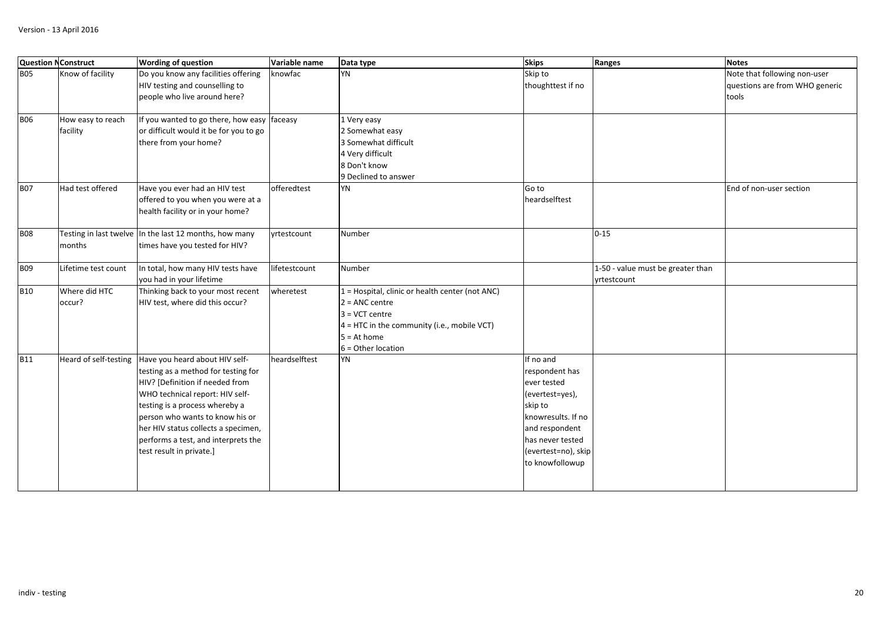|            | <b>Question N Construct</b>   | <b>Wording of question</b>                                                                                                                                                                                                                                                                                                 | Variable name | Data type                                                                                                                                                                         | <b>Skips</b>                                                                                                                                                                   | Ranges                                           | <b>Notes</b>                                                            |
|------------|-------------------------------|----------------------------------------------------------------------------------------------------------------------------------------------------------------------------------------------------------------------------------------------------------------------------------------------------------------------------|---------------|-----------------------------------------------------------------------------------------------------------------------------------------------------------------------------------|--------------------------------------------------------------------------------------------------------------------------------------------------------------------------------|--------------------------------------------------|-------------------------------------------------------------------------|
| <b>B05</b> | Know of facility              | Do you know any facilities offering<br>HIV testing and counselling to<br>people who live around here?                                                                                                                                                                                                                      | knowfac       | YN                                                                                                                                                                                | Skip to<br>thoughttest if no                                                                                                                                                   |                                                  | Note that following non-user<br>questions are from WHO generic<br>tools |
| <b>B06</b> | How easy to reach<br>facility | If you wanted to go there, how easy faceasy<br>or difficult would it be for you to go<br>there from your home?                                                                                                                                                                                                             |               | 1 Very easy<br>2 Somewhat easy<br>3 Somewhat difficult<br>4 Very difficult<br>8 Don't know<br>9 Declined to answer                                                                |                                                                                                                                                                                |                                                  |                                                                         |
| <b>B07</b> | Had test offered              | Have you ever had an HIV test<br>offered to you when you were at a<br>health facility or in your home?                                                                                                                                                                                                                     | offeredtest   | YN                                                                                                                                                                                | Go to<br>heardselftest                                                                                                                                                         |                                                  | End of non-user section                                                 |
| <b>B08</b> | months                        | Testing in last twelve In the last 12 months, how many<br>times have you tested for HIV?                                                                                                                                                                                                                                   | vrtestcount   | Number                                                                                                                                                                            |                                                                                                                                                                                | $0 - 15$                                         |                                                                         |
| <b>B09</b> | Lifetime test count           | In total, how many HIV tests have<br>you had in your lifetime                                                                                                                                                                                                                                                              | lifetestcount | Number                                                                                                                                                                            |                                                                                                                                                                                | 1-50 - value must be greater than<br>yrtestcount |                                                                         |
| <b>B10</b> | Where did HTC<br>occur?       | Thinking back to your most recent<br>HIV test, where did this occur?                                                                                                                                                                                                                                                       | wheretest     | 1 = Hospital, clinic or health center (not ANC)<br>$2 = ANC$ centre<br>$3 = VCT$ centre<br>$4 = HTC$ in the community (i.e., mobile VCT)<br>$5 = At home$<br>$6 =$ Other location |                                                                                                                                                                                |                                                  |                                                                         |
| <b>B11</b> | Heard of self-testing         | Have you heard about HIV self-<br>testing as a method for testing for<br>HIV? [Definition if needed from<br>WHO technical report: HIV self-<br>testing is a process whereby a<br>person who wants to know his or<br>her HIV status collects a specimen,<br>performs a test, and interprets the<br>test result in private.] | heardselftest | YN                                                                                                                                                                                | If no and<br>respondent has<br>ever tested<br>(evertest=yes),<br>skip to<br>knowresults. If no<br>and respondent<br>has never tested<br>(evertest=no), skip<br>to knowfollowup |                                                  |                                                                         |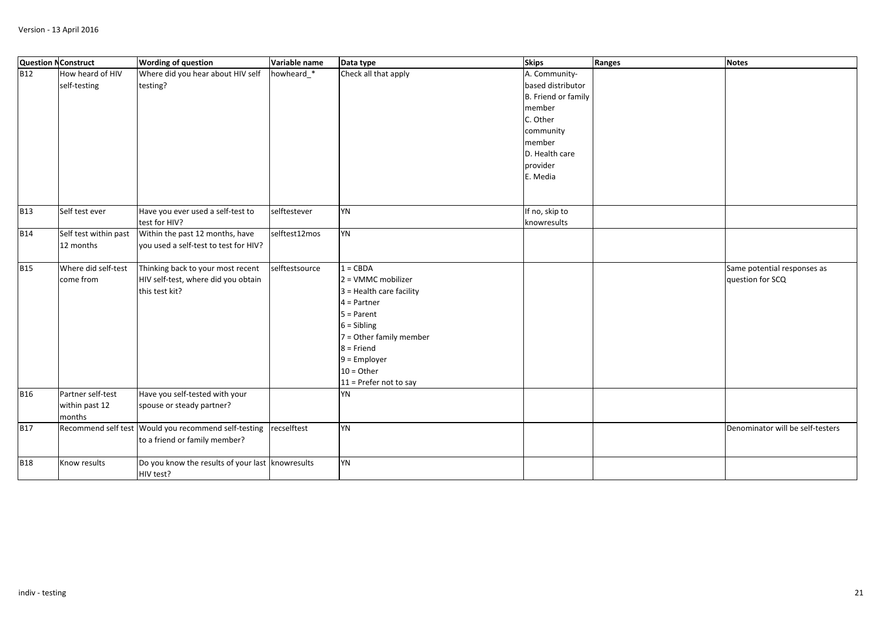| <b>Question N Construct</b> |                                               | <b>Wording of question</b>                                                                 | Variable name  | Data type                                                                                                                                                                                                                 | <b>Skips</b>                                                                                                                                     | Ranges | <b>Notes</b>                                    |
|-----------------------------|-----------------------------------------------|--------------------------------------------------------------------------------------------|----------------|---------------------------------------------------------------------------------------------------------------------------------------------------------------------------------------------------------------------------|--------------------------------------------------------------------------------------------------------------------------------------------------|--------|-------------------------------------------------|
| <b>B12</b>                  | How heard of HIV<br>self-testing              | Where did you hear about HIV self<br>testing?                                              | howheard_*     | Check all that apply                                                                                                                                                                                                      | A. Community-<br>based distributor<br>B. Friend or family<br>member<br>C. Other<br>community<br>member<br>D. Health care<br>provider<br>E. Media |        |                                                 |
| <b>B13</b>                  | Self test ever                                | Have you ever used a self-test to<br>test for HIV?                                         | selftestever   | YN                                                                                                                                                                                                                        | If no, skip to<br>knowresults                                                                                                                    |        |                                                 |
| <b>B14</b>                  | Self test within past<br>12 months            | Within the past 12 months, have<br>you used a self-test to test for HIV?                   | selftest12mos  | YN                                                                                                                                                                                                                        |                                                                                                                                                  |        |                                                 |
| <b>B15</b>                  | Where did self-test<br>come from              | Thinking back to your most recent<br>HIV self-test, where did you obtain<br>this test kit? | selftestsource | $1 = CBDA$<br>$2 = VMMC$ mobilizer<br>$3$ = Health care facility<br>$4 =$ Partner<br>$5 =$ Parent<br>$6 = Sibling$<br>7 = Other family member<br>$8$ = Friend<br>$9$ = Employer<br>$10 =$ Other<br>11 = Prefer not to say |                                                                                                                                                  |        | Same potential responses as<br>question for SCQ |
| <b>B16</b>                  | Partner self-test<br>within past 12<br>months | Have you self-tested with your<br>spouse or steady partner?                                |                | YN                                                                                                                                                                                                                        |                                                                                                                                                  |        |                                                 |
| <b>B17</b>                  |                                               | Recommend self test Would you recommend self-testing<br>to a friend or family member?      | recselftest    | <b>YN</b>                                                                                                                                                                                                                 |                                                                                                                                                  |        | Denominator will be self-testers                |
| <b>B18</b>                  | Know results                                  | Do you know the results of your last knowresults<br>HIV test?                              |                | <b>YN</b>                                                                                                                                                                                                                 |                                                                                                                                                  |        |                                                 |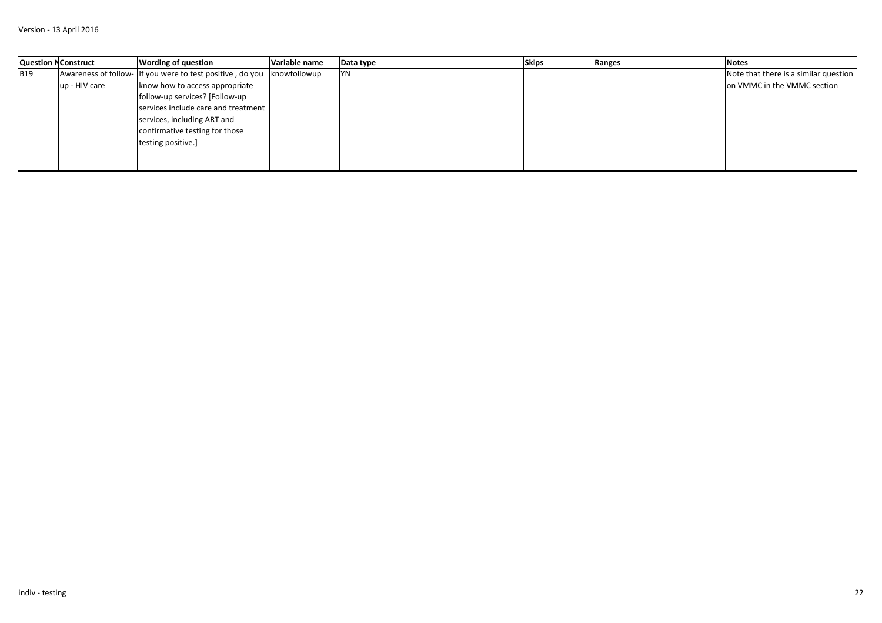|            | <b>Question NConstruct</b> | <b>Wording of question</b>                                | Variable name | Data type | <b>Skips</b> | Ranges | <b>Notes</b>                          |
|------------|----------------------------|-----------------------------------------------------------|---------------|-----------|--------------|--------|---------------------------------------|
| <b>B19</b> |                            | Awareness of follow- If you were to test positive, do you | knowfollowup  | <b>YN</b> |              |        | Note that there is a similar question |
|            | up - HIV care              | know how to access appropriate                            |               |           |              |        | on VMMC in the VMMC section           |
|            |                            | follow-up services? [Follow-up                            |               |           |              |        |                                       |
|            |                            | services include care and treatment                       |               |           |              |        |                                       |
|            |                            | services, including ART and                               |               |           |              |        |                                       |
|            |                            | confirmative testing for those                            |               |           |              |        |                                       |
|            |                            | testing positive.]                                        |               |           |              |        |                                       |
|            |                            |                                                           |               |           |              |        |                                       |
|            |                            |                                                           |               |           |              |        |                                       |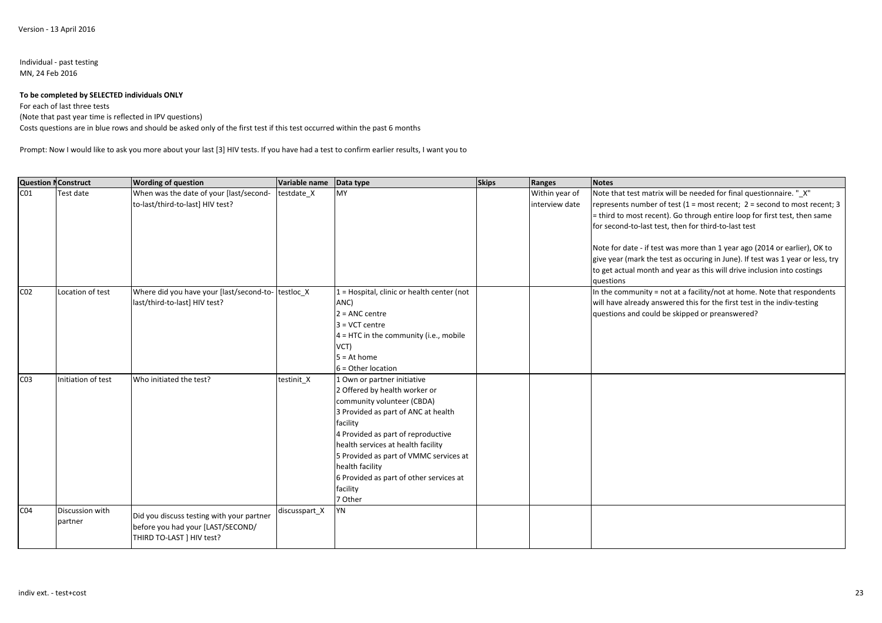#### Individual - past testingMN, 24 Feb 2016

#### **To be completed by SELECTED individuals ONLY**

For each of last three tests

(Note that past year time is reflected in IPV questions)

Costs questions are in blue rows and should be asked only of the first test if this test occurred within the past 6 months

Prompt: Now I would like to ask you more about your last [3] HIV tests. If you have had a test to confirm earlier results, I want you to

| <b>Question NConstruct</b> |                    | <b>Wording of question</b>                         | Variable name | Data type                                  | <b>Skips</b> | Ranges         | <b>Notes</b>                                                                   |
|----------------------------|--------------------|----------------------------------------------------|---------------|--------------------------------------------|--------------|----------------|--------------------------------------------------------------------------------|
| CO <sub>1</sub>            | Test date          | When was the date of your [last/second-            | testdate X    | <b>MY</b>                                  |              | Within year of | Note that test matrix will be needed for final questionnaire. "X"              |
|                            |                    | to-last/third-to-last] HIV test?                   |               |                                            |              | interview date | represents number of test (1 = most recent; 2 = second to most recent; 3       |
|                            |                    |                                                    |               |                                            |              |                | = third to most recent). Go through entire loop for first test, then same      |
|                            |                    |                                                    |               |                                            |              |                | for second-to-last test, then for third-to-last test                           |
|                            |                    |                                                    |               |                                            |              |                |                                                                                |
|                            |                    |                                                    |               |                                            |              |                | Note for date - if test was more than 1 year ago (2014 or earlier), OK to      |
|                            |                    |                                                    |               |                                            |              |                | give year (mark the test as occuring in June). If test was 1 year or less, try |
|                            |                    |                                                    |               |                                            |              |                | to get actual month and year as this will drive inclusion into costings        |
|                            |                    |                                                    |               |                                            |              |                | questions                                                                      |
| CO <sub>2</sub>            | Location of test   | Where did you have your [last/second-to- testloc_X |               | 1 = Hospital, clinic or health center (not |              |                | In the community = not at a facility/not at home. Note that respondents        |
|                            |                    | last/third-to-last] HIV test?                      |               | ANC)                                       |              |                | will have already answered this for the first test in the indiv-testing        |
|                            |                    |                                                    |               | $2 = ANC$ centre                           |              |                | questions and could be skipped or preanswered?                                 |
|                            |                    |                                                    |               | $3 = VCT$ centre                           |              |                |                                                                                |
|                            |                    |                                                    |               | $4 =$ HTC in the community (i.e., mobile   |              |                |                                                                                |
|                            |                    |                                                    |               | VCT)                                       |              |                |                                                                                |
|                            |                    |                                                    |               | $5 = At home$                              |              |                |                                                                                |
|                            |                    |                                                    |               | $6 =$ Other location                       |              |                |                                                                                |
| C <sub>03</sub>            | Initiation of test | Who initiated the test?                            | testinit X    | 1 Own or partner initiative                |              |                |                                                                                |
|                            |                    |                                                    |               | 2 Offered by health worker or              |              |                |                                                                                |
|                            |                    |                                                    |               | community volunteer (CBDA)                 |              |                |                                                                                |
|                            |                    |                                                    |               | 3 Provided as part of ANC at health        |              |                |                                                                                |
|                            |                    |                                                    |               | facility                                   |              |                |                                                                                |
|                            |                    |                                                    |               | 4 Provided as part of reproductive         |              |                |                                                                                |
|                            |                    |                                                    |               | health services at health facility         |              |                |                                                                                |
|                            |                    |                                                    |               | 5 Provided as part of VMMC services at     |              |                |                                                                                |
|                            |                    |                                                    |               | health facility                            |              |                |                                                                                |
|                            |                    |                                                    |               | 6 Provided as part of other services at    |              |                |                                                                                |
|                            |                    |                                                    |               | facility                                   |              |                |                                                                                |
|                            |                    |                                                    |               | 7 Other                                    |              |                |                                                                                |
| CO <sub>4</sub>            | Discussion with    | Did you discuss testing with your partner          | discusspart_X | YN                                         |              |                |                                                                                |
|                            | partner            | before you had your [LAST/SECOND/                  |               |                                            |              |                |                                                                                |
|                            |                    | THIRD TO-LAST   HIV test?                          |               |                                            |              |                |                                                                                |
|                            |                    |                                                    |               |                                            |              |                |                                                                                |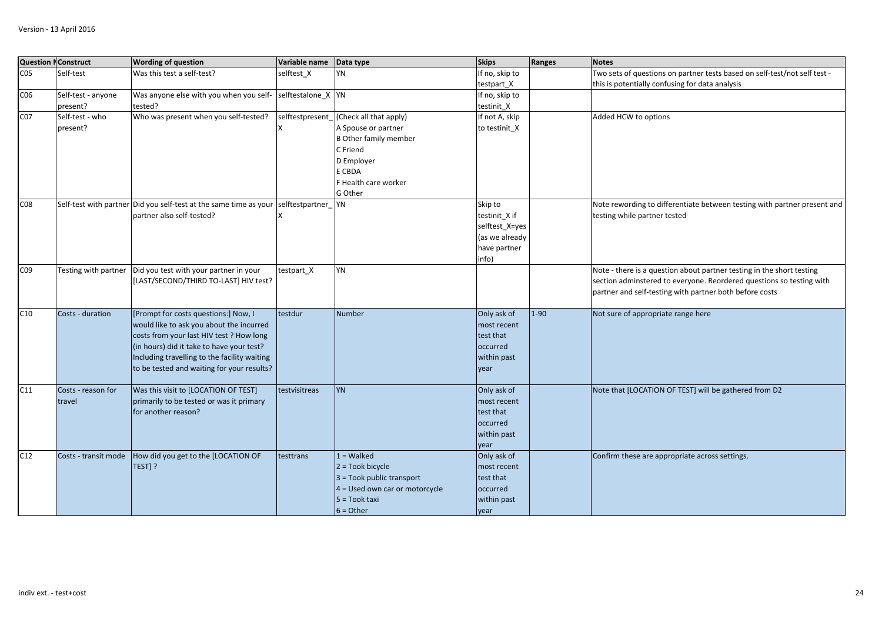|                 | <b>Question NConstruct</b> | <b>Wording of question</b>                                        | Variable name      | Data type                      | <b>Skips</b>    | Ranges | <b>Notes</b>                                                              |
|-----------------|----------------------------|-------------------------------------------------------------------|--------------------|--------------------------------|-----------------|--------|---------------------------------------------------------------------------|
| CO <sub>5</sub> | Self-test                  | Was this test a self-test?                                        | selftest X         | YN                             | If no, skip to  |        | Two sets of questions on partner tests based on self-test/not self test - |
|                 |                            |                                                                   |                    |                                | testpart_X      |        | this is potentially confusing for data analysis                           |
| CO6             | Self-test - anyone         | Was anyone else with you when you self-                           | selftestalone_X YN |                                | If no, skip to  |        |                                                                           |
|                 | present?                   | tested?                                                           |                    |                                | testinit X      |        |                                                                           |
| C07             | Self-test - who            | Who was present when you self-tested?                             | selftestpresent    | (Check all that apply)         | If not A, skip  |        | Added HCW to options                                                      |
|                 | present?                   |                                                                   |                    | A Spouse or partner            | to testinit_X   |        |                                                                           |
|                 |                            |                                                                   |                    | <b>B</b> Other family member   |                 |        |                                                                           |
|                 |                            |                                                                   |                    | C Friend                       |                 |        |                                                                           |
|                 |                            |                                                                   |                    | D Employer                     |                 |        |                                                                           |
|                 |                            |                                                                   |                    | E CBDA                         |                 |        |                                                                           |
|                 |                            |                                                                   |                    | F Health care worker           |                 |        |                                                                           |
|                 |                            |                                                                   |                    | G Other                        |                 |        |                                                                           |
| C08             |                            | Self-test with partner Did you self-test at the same time as your | selftestpartner    | YN                             | Skip to         |        | Note rewording to differentiate between testing with partner present and  |
|                 |                            | partner also self-tested?                                         |                    |                                | testinit X if   |        | testing while partner tested                                              |
|                 |                            |                                                                   |                    |                                | selftest_X=yes  |        |                                                                           |
|                 |                            |                                                                   |                    |                                | (as we already  |        |                                                                           |
|                 |                            |                                                                   |                    |                                | have partner    |        |                                                                           |
|                 |                            |                                                                   |                    |                                | info)           |        |                                                                           |
| C09             | Testing with partner       | Did you test with your partner in your                            | testpart_X         | YN                             |                 |        | Note - there is a question about partner testing in the short testing     |
|                 |                            | [LAST/SECOND/THIRD TO-LAST] HIV test?                             |                    |                                |                 |        | section adminstered to everyone. Reordered questions so testing with      |
|                 |                            |                                                                   |                    |                                |                 |        | partner and self-testing with partner both before costs                   |
|                 |                            |                                                                   |                    |                                |                 |        |                                                                           |
| C10             | Costs - duration           | [Prompt for costs questions:] Now, I                              | testdur            | <b>Number</b>                  | Only ask of     | $1-90$ | Not sure of appropriate range here                                        |
|                 |                            | would like to ask you about the incurred                          |                    |                                | most recent     |        |                                                                           |
|                 |                            | costs from your last HIV test ? How long                          |                    |                                | test that       |        |                                                                           |
|                 |                            | (in hours) did it take to have your test?                         |                    |                                | <b>occurred</b> |        |                                                                           |
|                 |                            | Including travelling to the facility waiting                      |                    |                                | within past     |        |                                                                           |
|                 |                            | to be tested and waiting for your results?                        |                    |                                | year            |        |                                                                           |
|                 |                            |                                                                   |                    |                                |                 |        |                                                                           |
| C11             | Costs - reason for         | Was this visit to [LOCATION OF TEST]                              | testvisitreas      | <b>YN</b>                      | Only ask of     |        | Note that [LOCATION OF TEST] will be gathered from D2                     |
|                 | travel                     | primarily to be tested or was it primary                          |                    |                                | most recent     |        |                                                                           |
|                 |                            | for another reason?                                               |                    |                                | test that       |        |                                                                           |
|                 |                            |                                                                   |                    |                                | occurred        |        |                                                                           |
|                 |                            |                                                                   |                    |                                | within past     |        |                                                                           |
|                 |                            |                                                                   |                    |                                | vear            |        |                                                                           |
| C12             | Costs - transit mode       | How did you get to the [LOCATION OF                               | testtrans          | $1 =$ Walked                   | Only ask of     |        | Confirm these are appropriate across settings.                            |
|                 |                            | TEST] ?                                                           |                    | $2 = \text{Took bicycle}$      | most recent     |        |                                                                           |
|                 |                            |                                                                   |                    | $3$ = Took public transport    | test that       |        |                                                                           |
|                 |                            |                                                                   |                    | 4 = Used own car or motorcycle | occurred        |        |                                                                           |
|                 |                            |                                                                   |                    | $5 = \text{Took taxi}$         | within past     |        |                                                                           |
|                 |                            |                                                                   |                    | $6 = Other$                    | year            |        |                                                                           |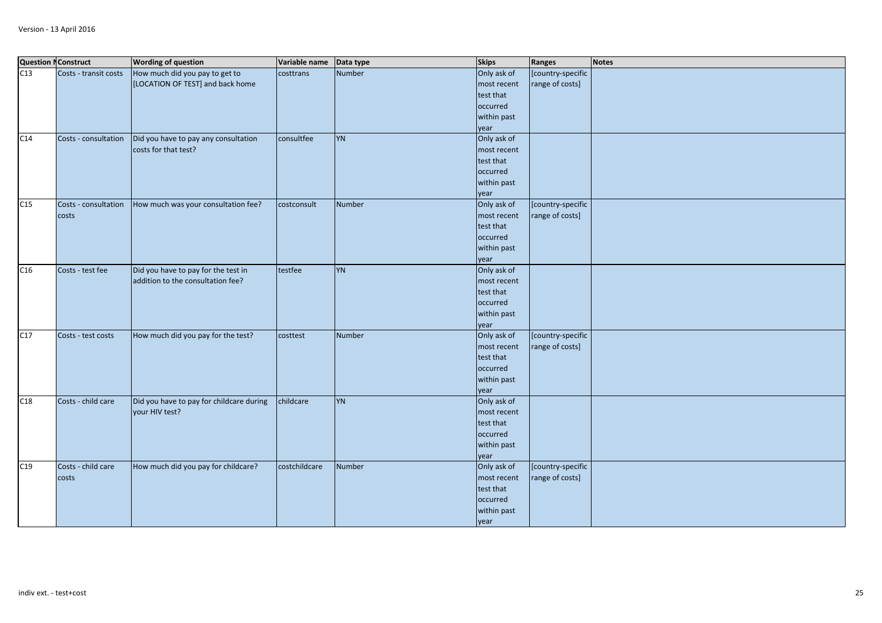|     | <b>Question NConstruct</b> | <b>Wording of question</b>               | Variable name | Data type | <b>Skips</b> | Ranges            | <b>Notes</b> |
|-----|----------------------------|------------------------------------------|---------------|-----------|--------------|-------------------|--------------|
| C13 | Costs - transit costs      | How much did you pay to get to           | costtrans     | Number    | Only ask of  | [country-specific |              |
|     |                            | [LOCATION OF TEST] and back home         |               |           | most recent  | range of costs]   |              |
|     |                            |                                          |               |           | test that    |                   |              |
|     |                            |                                          |               |           | occurred     |                   |              |
|     |                            |                                          |               |           | within past  |                   |              |
|     |                            |                                          |               |           | year         |                   |              |
| C14 | Costs - consultation       | Did you have to pay any consultation     | consultfee    | <b>YN</b> | Only ask of  |                   |              |
|     |                            | costs for that test?                     |               |           | most recent  |                   |              |
|     |                            |                                          |               |           | test that    |                   |              |
|     |                            |                                          |               |           | occurred     |                   |              |
|     |                            |                                          |               |           | within past  |                   |              |
|     |                            |                                          |               |           | year         |                   |              |
| C15 | Costs - consultation       | How much was your consultation fee?      | costconsult   | Number    | Only ask of  | [country-specific |              |
|     | costs                      |                                          |               |           | most recent  | range of costs]   |              |
|     |                            |                                          |               |           | test that    |                   |              |
|     |                            |                                          |               |           | occurred     |                   |              |
|     |                            |                                          |               |           | within past  |                   |              |
|     |                            |                                          |               |           | year         |                   |              |
| C16 | Costs - test fee           | Did you have to pay for the test in      | testfee       | <b>YN</b> | Only ask of  |                   |              |
|     |                            | addition to the consultation fee?        |               |           | most recent  |                   |              |
|     |                            |                                          |               |           | test that    |                   |              |
|     |                            |                                          |               |           | occurred     |                   |              |
|     |                            |                                          |               |           | within past  |                   |              |
|     |                            |                                          |               |           | year         |                   |              |
| C17 | Costs - test costs         | How much did you pay for the test?       | costtest      | Number    | Only ask of  | [country-specific |              |
|     |                            |                                          |               |           | most recent  | range of costs]   |              |
|     |                            |                                          |               |           | test that    |                   |              |
|     |                            |                                          |               |           | occurred     |                   |              |
|     |                            |                                          |               |           | within past  |                   |              |
|     |                            |                                          |               |           | year         |                   |              |
| C18 | Costs - child care         | Did you have to pay for childcare during | childcare     | <b>YN</b> | Only ask of  |                   |              |
|     |                            | your HIV test?                           |               |           | most recent  |                   |              |
|     |                            |                                          |               |           | test that    |                   |              |
|     |                            |                                          |               |           | occurred     |                   |              |
|     |                            |                                          |               |           | within past  |                   |              |
|     |                            |                                          |               |           | year         |                   |              |
| C19 | Costs - child care         | How much did you pay for childcare?      | costchildcare | Number    | Only ask of  | [country-specific |              |
|     | costs                      |                                          |               |           | most recent  | range of costs]   |              |
|     |                            |                                          |               |           | test that    |                   |              |
|     |                            |                                          |               |           | occurred     |                   |              |
|     |                            |                                          |               |           | within past  |                   |              |
|     |                            |                                          |               |           | year         |                   |              |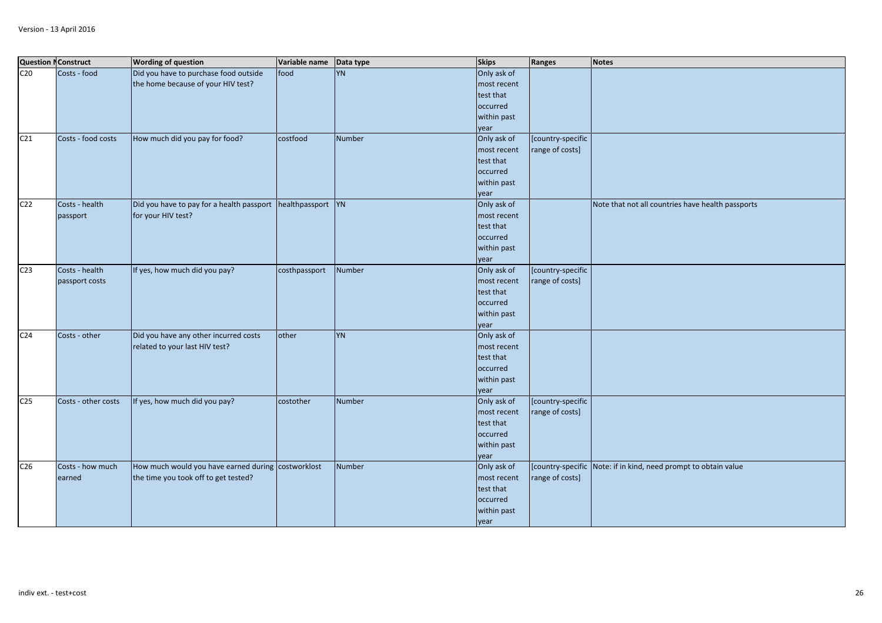|                 | <b>Question NConstruct</b> | <b>Wording of question</b>                                                  | Variable name | Data type     | <b>Skips</b>               | Ranges            | Notes                                                           |
|-----------------|----------------------------|-----------------------------------------------------------------------------|---------------|---------------|----------------------------|-------------------|-----------------------------------------------------------------|
| C <sub>20</sub> | Costs - food               | Did you have to purchase food outside<br>the home because of your HIV test? | food          | <b>YN</b>     | Only ask of<br>most recent |                   |                                                                 |
|                 |                            |                                                                             |               |               | test that                  |                   |                                                                 |
|                 |                            |                                                                             |               |               | occurred                   |                   |                                                                 |
|                 |                            |                                                                             |               |               | within past                |                   |                                                                 |
|                 |                            |                                                                             |               |               | year                       |                   |                                                                 |
| C <sub>21</sub> | Costs - food costs         | How much did you pay for food?                                              | costfood      | Number        | Only ask of                | [country-specific |                                                                 |
|                 |                            |                                                                             |               |               | most recent                | range of costs]   |                                                                 |
|                 |                            |                                                                             |               |               | test that                  |                   |                                                                 |
|                 |                            |                                                                             |               |               | occurred                   |                   |                                                                 |
|                 |                            |                                                                             |               |               | within past                |                   |                                                                 |
|                 |                            |                                                                             |               |               | year                       |                   |                                                                 |
| C <sub>22</sub> | Costs - health             | Did you have to pay for a health passport   healthpassport   YN             |               |               | Only ask of                |                   | Note that not all countries have health passports               |
|                 | passport                   | for your HIV test?                                                          |               |               | most recent                |                   |                                                                 |
|                 |                            |                                                                             |               |               | test that                  |                   |                                                                 |
|                 |                            |                                                                             |               |               | occurred                   |                   |                                                                 |
|                 |                            |                                                                             |               |               | within past                |                   |                                                                 |
|                 |                            |                                                                             |               |               | year                       |                   |                                                                 |
| C <sub>23</sub> | Costs - health             | If yes, how much did you pay?                                               | costhpassport | Number        | Only ask of                | [country-specific |                                                                 |
|                 | passport costs             |                                                                             |               |               | most recent                | range of costs]   |                                                                 |
|                 |                            |                                                                             |               |               | test that                  |                   |                                                                 |
|                 |                            |                                                                             |               |               | occurred                   |                   |                                                                 |
|                 |                            |                                                                             |               |               | within past                |                   |                                                                 |
|                 |                            |                                                                             |               |               | year                       |                   |                                                                 |
| C <sub>24</sub> | Costs - other              | Did you have any other incurred costs                                       | other         | <b>YN</b>     | Only ask of                |                   |                                                                 |
|                 |                            | related to your last HIV test?                                              |               |               | most recent                |                   |                                                                 |
|                 |                            |                                                                             |               |               | test that                  |                   |                                                                 |
|                 |                            |                                                                             |               |               | occurred                   |                   |                                                                 |
|                 |                            |                                                                             |               |               | within past                |                   |                                                                 |
|                 |                            |                                                                             |               |               | year                       |                   |                                                                 |
| C <sub>25</sub> | Costs - other costs        | If yes, how much did you pay?                                               | costother     | <b>Number</b> | Only ask of                | [country-specific |                                                                 |
|                 |                            |                                                                             |               |               | most recent                | range of costs]   |                                                                 |
|                 |                            |                                                                             |               |               | test that                  |                   |                                                                 |
|                 |                            |                                                                             |               |               | occurred                   |                   |                                                                 |
|                 |                            |                                                                             |               |               | within past                |                   |                                                                 |
|                 |                            |                                                                             |               |               | year                       |                   |                                                                 |
| C <sub>26</sub> | Costs - how much           | How much would you have earned during costworklost                          |               | Number        | Only ask of                |                   | [country-specific Note: if in kind, need prompt to obtain value |
|                 | earned                     | the time you took off to get tested?                                        |               |               | most recent                | range of costs]   |                                                                 |
|                 |                            |                                                                             |               |               | test that                  |                   |                                                                 |
|                 |                            |                                                                             |               |               | occurred                   |                   |                                                                 |
|                 |                            |                                                                             |               |               | within past                |                   |                                                                 |
|                 |                            |                                                                             |               |               | year                       |                   |                                                                 |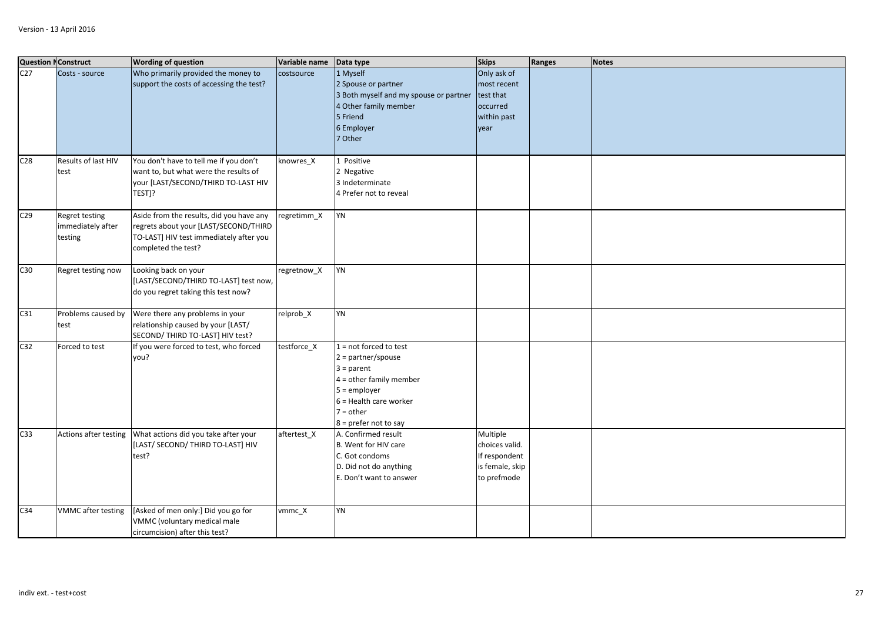|                 | <b>Question NConstruct</b>                     | <b>Wording of question</b>                                                                                                                          | Variable name | Data type                                                                                                                                                                             | <b>Skips</b>                                                                  | Ranges | <b>Notes</b> |
|-----------------|------------------------------------------------|-----------------------------------------------------------------------------------------------------------------------------------------------------|---------------|---------------------------------------------------------------------------------------------------------------------------------------------------------------------------------------|-------------------------------------------------------------------------------|--------|--------------|
| C27             | Costs - source                                 | Who primarily provided the money to<br>support the costs of accessing the test?                                                                     | costsource    | 1 Myself<br>2 Spouse or partner<br>3 Both myself and my spouse or partner<br>4 Other family member<br>5 Friend<br>6 Employer<br>7 Other                                               | Only ask of<br>most recent<br>test that<br>occurred<br>within past<br>year    |        |              |
| C <sub>28</sub> | Results of last HIV<br>test                    | You don't have to tell me if you don't<br>want to, but what were the results of<br>your [LAST/SECOND/THIRD TO-LAST HIV<br>TEST]?                    | knowres X     | 1 Positive<br>2 Negative<br>3 Indeterminate<br>4 Prefer not to reveal                                                                                                                 |                                                                               |        |              |
| C <sub>29</sub> | Regret testing<br>immediately after<br>testing | Aside from the results, did you have any<br>regrets about your [LAST/SECOND/THIRD<br>TO-LAST] HIV test immediately after you<br>completed the test? | regretimm_X   | YN                                                                                                                                                                                    |                                                                               |        |              |
| C30             | Regret testing now                             | Looking back on your<br>[LAST/SECOND/THIRD TO-LAST] test now,<br>do you regret taking this test now?                                                | regretnow_X   | YN                                                                                                                                                                                    |                                                                               |        |              |
| C31             | Problems caused by<br>test                     | Were there any problems in your<br>relationship caused by your [LAST/<br>SECOND/ THIRD TO-LAST] HIV test?                                           | relprob_X     | YN                                                                                                                                                                                    |                                                                               |        |              |
| C <sub>32</sub> | Forced to test                                 | If you were forced to test, who forced<br>you?                                                                                                      | testforce X   | $1 = not forced to test$<br>$2 = partner/spouse$<br>$3 = parent$<br>$4 =$ other family member<br>$5 =$ employer<br>$6$ = Health care worker<br>$7 = other$<br>$8 =$ prefer not to say |                                                                               |        |              |
| C33             | Actions after testing                          | What actions did you take after your<br>[LAST/ SECOND/ THIRD TO-LAST] HIV<br>test?                                                                  | aftertest X   | A. Confirmed result<br>B. Went for HIV care<br>C. Got condoms<br>D. Did not do anything<br>E. Don't want to answer                                                                    | Multiple<br>choices valid.<br>If respondent<br>is female, skip<br>to prefmode |        |              |
| C <sub>34</sub> | <b>VMMC</b> after testing                      | [Asked of men only:] Did you go for<br>VMMC (voluntary medical male<br>circumcision) after this test?                                               | vmmc_X        | YN                                                                                                                                                                                    |                                                                               |        |              |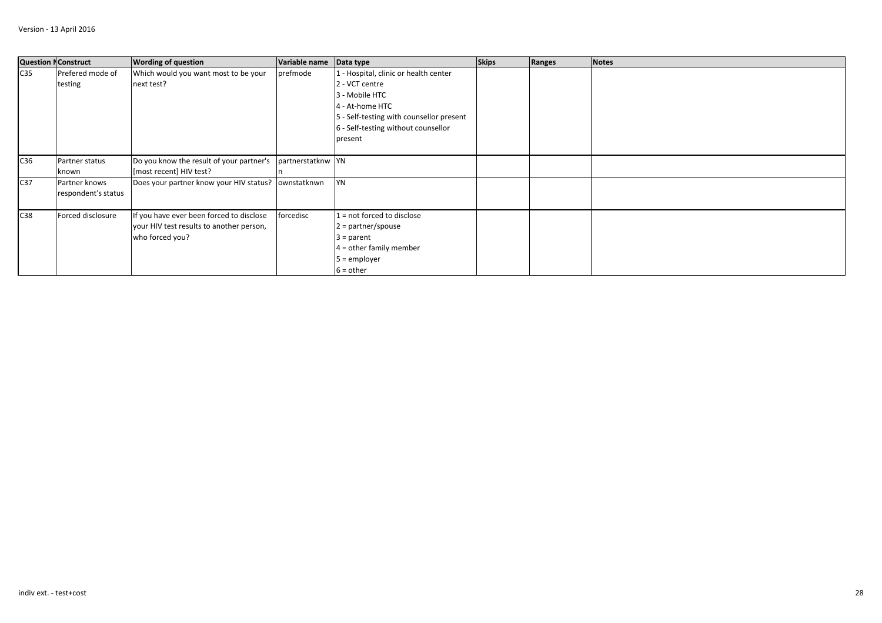|                 | <b>Question NConstruct</b> | <b>Wording of question</b>                          | Variable name     | Data type                                | <b>Skips</b> | Ranges | <b>Notes</b> |
|-----------------|----------------------------|-----------------------------------------------------|-------------------|------------------------------------------|--------------|--------|--------------|
| C <sub>35</sub> | Prefered mode of           | Which would you want most to be your                | prefmode          | 1 - Hospital, clinic or health center    |              |        |              |
|                 | testing                    | next test?                                          |                   | 2 - VCT centre                           |              |        |              |
|                 |                            |                                                     |                   | 3 - Mobile HTC                           |              |        |              |
|                 |                            |                                                     |                   | 4 - At-home HTC                          |              |        |              |
|                 |                            |                                                     |                   | 5 - Self-testing with counsellor present |              |        |              |
|                 |                            |                                                     |                   | 6 - Self-testing without counsellor      |              |        |              |
|                 |                            |                                                     |                   | present                                  |              |        |              |
|                 |                            |                                                     |                   |                                          |              |        |              |
| C36             | Partner status             | Do you know the result of your partner's            | partnerstatknw YN |                                          |              |        |              |
|                 | known                      | [most recent] HIV test?                             |                   |                                          |              |        |              |
| C <sub>37</sub> | Partner knows              | Does your partner know your HIV status? ownstatknwn |                   | <b>YN</b>                                |              |        |              |
|                 | respondent's status        |                                                     |                   |                                          |              |        |              |
|                 |                            |                                                     |                   |                                          |              |        |              |
| C38             | Forced disclosure          | If you have ever been forced to disclose            | forcedisc         | $1 = not forced to disclose$             |              |        |              |
|                 |                            | your HIV test results to another person,            |                   | $2 =$ partner/spouse                     |              |        |              |
|                 |                            | who forced you?                                     |                   | $3 = parent$                             |              |        |              |
|                 |                            |                                                     |                   | $4 =$ other family member                |              |        |              |
|                 |                            |                                                     |                   | $5 =$ employer                           |              |        |              |
|                 |                            |                                                     |                   | $6 = other$                              |              |        |              |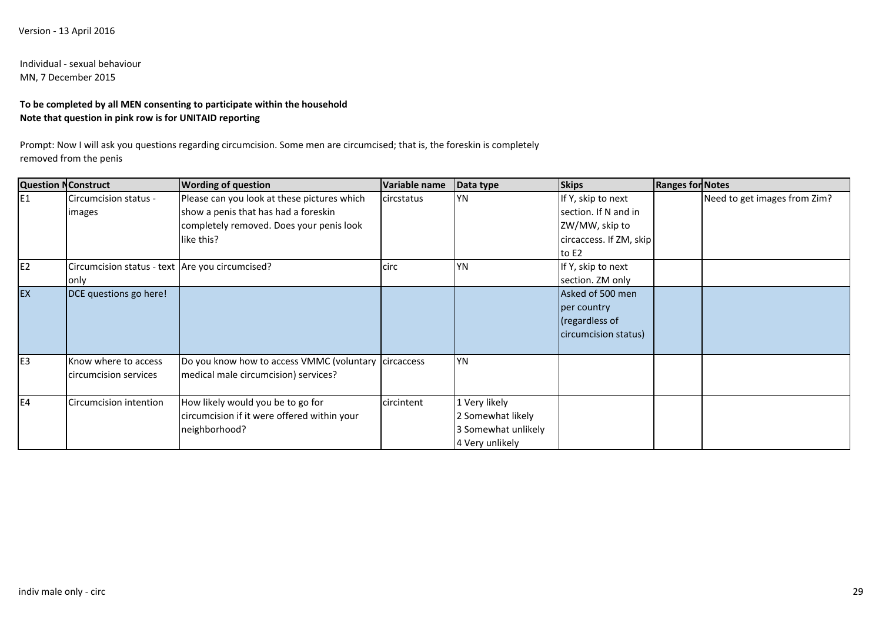# Individual - sexual behaviourMN, 7 December 2015

# **To be completed by all MEN consenting to participate within the householdNote that question in pink row is for UNITAID reporting**

Prompt: Now I will ask you questions regarding circumcision. Some men are circumcised; that is, the foreskin is completely removed from the penis

| <b>Question NConstruct</b> |                                                         | <b>Wording of question</b>                                                                                                                    | Variable name | Data type                                                                    | <b>Skips</b>                                                                                     | <b>Ranges for Notes</b> |                              |
|----------------------------|---------------------------------------------------------|-----------------------------------------------------------------------------------------------------------------------------------------------|---------------|------------------------------------------------------------------------------|--------------------------------------------------------------------------------------------------|-------------------------|------------------------------|
| IE <sub>1</sub>            | Circumcision status -<br>images                         | Please can you look at these pictures which<br>show a penis that has had a foreskin<br>completely removed. Does your penis look<br>like this? | circstatus    | YN                                                                           | If Y, skip to next<br>section. If N and in<br>ZW/MW, skip to<br>circaccess. If ZM, skip<br>to E2 |                         | Need to get images from Zim? |
| E <sub>2</sub>             | Circumcision status - text Are you circumcised?<br>only |                                                                                                                                               | circ          | <b>YN</b>                                                                    | If Y, skip to next<br>section. ZM only                                                           |                         |                              |
| EX                         | DCE questions go here!                                  |                                                                                                                                               |               |                                                                              | Asked of 500 men<br>per country<br>(regardless of<br>circumcision status)                        |                         |                              |
| E <sub>3</sub>             | Know where to access<br>circumcision services           | Do you know how to access VMMC (voluntary<br>medical male circumcision) services?                                                             | circaccess    | <b>YN</b>                                                                    |                                                                                                  |                         |                              |
| E <sub>4</sub>             | Circumcision intention                                  | How likely would you be to go for<br>circumcision if it were offered within your<br>neighborhood?                                             | circintent    | 1 Very likely<br>2 Somewhat likely<br>3 Somewhat unlikely<br>4 Very unlikely |                                                                                                  |                         |                              |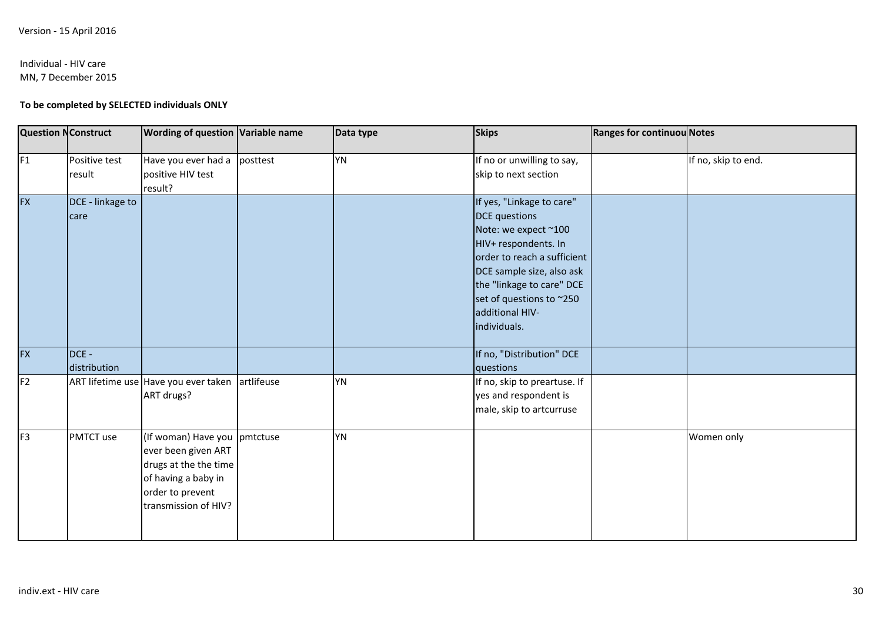# Individual - HIV care

MN, 7 December 2015

# **To be completed by SELECTED individuals ONLY**

| <b>Question NConstruct</b> |                          | <b>Wording of question Variable name</b>                                                                                                        |            | Data type | <b>Skips</b>                                                                                                                                                                                                                                              | <b>Ranges for continuou Notes</b> |                     |
|----------------------------|--------------------------|-------------------------------------------------------------------------------------------------------------------------------------------------|------------|-----------|-----------------------------------------------------------------------------------------------------------------------------------------------------------------------------------------------------------------------------------------------------------|-----------------------------------|---------------------|
| F <sub>1</sub>             | Positive test<br>result  | Have you ever had a<br>positive HIV test<br>result?                                                                                             | posttest   | YN        | If no or unwilling to say,<br>skip to next section                                                                                                                                                                                                        |                                   | If no, skip to end. |
| <b>FX</b>                  | DCE - linkage to<br>care |                                                                                                                                                 |            |           | If yes, "Linkage to care"<br><b>DCE</b> questions<br>Note: we expect ~100<br>HIV+ respondents. In<br>order to reach a sufficient<br>DCE sample size, also ask<br>the "linkage to care" DCE<br>set of questions to ~250<br>additional HIV-<br>individuals. |                                   |                     |
| <b>FX</b>                  | DCE -<br>distribution    |                                                                                                                                                 |            |           | If no, "Distribution" DCE<br>questions                                                                                                                                                                                                                    |                                   |                     |
| F <sub>2</sub>             |                          | ART lifetime use Have you ever taken<br>ART drugs?                                                                                              | artlifeuse | YN        | If no, skip to preartuse. If<br>yes and respondent is<br>male, skip to artcurruse                                                                                                                                                                         |                                   |                     |
| F <sub>3</sub>             | PMTCT use                | (If woman) Have you pmtctuse<br>ever been given ART<br>drugs at the the time<br>of having a baby in<br>order to prevent<br>transmission of HIV? |            | <b>YN</b> |                                                                                                                                                                                                                                                           |                                   | Women only          |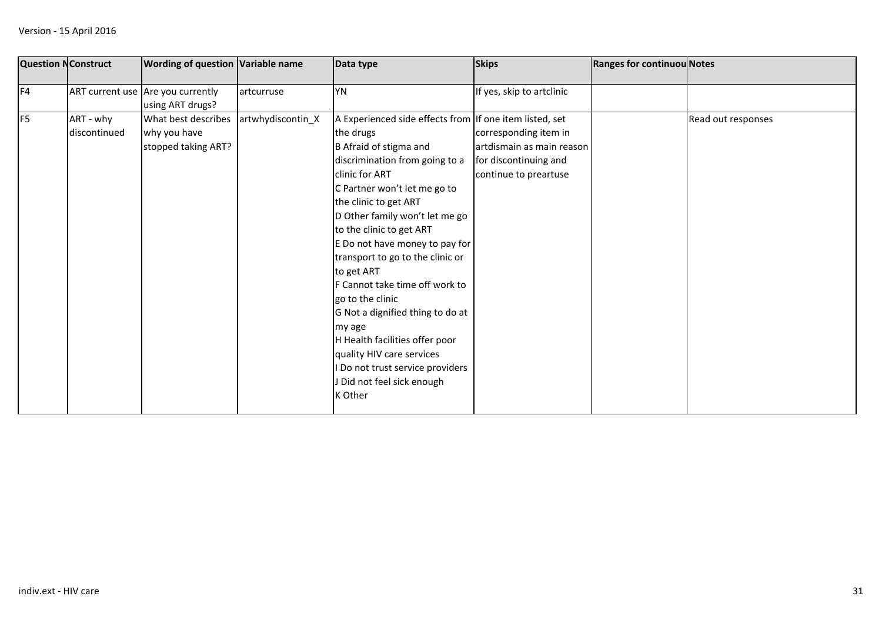|                | <b>Question NConstruct</b> | <b>Wording of question Variable name</b>                   |                   | Data type                                                                                                                                                                                                                                                                                                                                                                                                                                                                                                                                                                                                   | <b>Skips</b>                                                                                         | <b>Ranges for continuou Notes</b> |                    |
|----------------|----------------------------|------------------------------------------------------------|-------------------|-------------------------------------------------------------------------------------------------------------------------------------------------------------------------------------------------------------------------------------------------------------------------------------------------------------------------------------------------------------------------------------------------------------------------------------------------------------------------------------------------------------------------------------------------------------------------------------------------------------|------------------------------------------------------------------------------------------------------|-----------------------------------|--------------------|
| F4             |                            | ART current use Are you currently<br>using ART drugs?      | artcurruse        | <b>YN</b>                                                                                                                                                                                                                                                                                                                                                                                                                                                                                                                                                                                                   | If yes, skip to artclinic                                                                            |                                   |                    |
| F <sub>5</sub> | ART - why<br>discontinued  | What best describes<br>why you have<br>stopped taking ART? | artwhydiscontin_X | A Experienced side effects from If one item listed, set<br>the drugs<br>B Afraid of stigma and<br>discrimination from going to a<br>clinic for ART<br>C Partner won't let me go to<br>the clinic to get ART<br>D Other family won't let me go<br>to the clinic to get ART<br>E Do not have money to pay for<br>transport to go to the clinic or<br>to get ART<br>F Cannot take time off work to<br>go to the clinic<br>G Not a dignified thing to do at<br>my age<br>H Health facilities offer poor<br>quality HIV care services<br>Do not trust service providers<br>J Did not feel sick enough<br>K Other | corresponding item in<br>artdismain as main reason<br>for discontinuing and<br>continue to preartuse |                                   | Read out responses |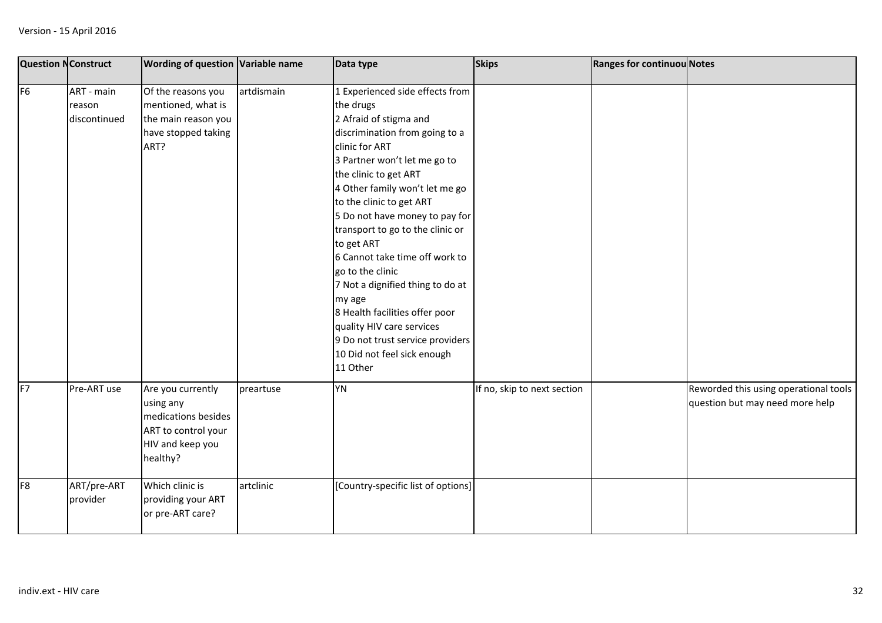| <b>Question NConstruct</b> |                                      | <b>Wording of question Variable name</b>                                                                     |            | Data type                                                                                                                                                                                                                                                                                                                                                                                                                                                                                                                                                                               | <b>Skips</b>                | <b>Ranges for continuou Notes</b> |                                                                          |
|----------------------------|--------------------------------------|--------------------------------------------------------------------------------------------------------------|------------|-----------------------------------------------------------------------------------------------------------------------------------------------------------------------------------------------------------------------------------------------------------------------------------------------------------------------------------------------------------------------------------------------------------------------------------------------------------------------------------------------------------------------------------------------------------------------------------------|-----------------------------|-----------------------------------|--------------------------------------------------------------------------|
| F <sub>6</sub>             | ART - main<br>reason<br>discontinued | Of the reasons you<br>mentioned, what is<br>the main reason you<br>have stopped taking<br>ART?               | artdismain | 1 Experienced side effects from<br>the drugs<br>2 Afraid of stigma and<br>discrimination from going to a<br>clinic for ART<br>3 Partner won't let me go to<br>the clinic to get ART<br>4 Other family won't let me go<br>to the clinic to get ART<br>5 Do not have money to pay for<br>transport to go to the clinic or<br>to get ART<br>6 Cannot take time off work to<br>go to the clinic<br>7 Not a dignified thing to do at<br>my age<br>8 Health facilities offer poor<br>quality HIV care services<br>9 Do not trust service providers<br>10 Did not feel sick enough<br>11 Other |                             |                                   |                                                                          |
| F7                         | Pre-ART use                          | Are you currently<br>using any<br>medications besides<br>ART to control your<br>HIV and keep you<br>healthy? | preartuse  | <b>YN</b>                                                                                                                                                                                                                                                                                                                                                                                                                                                                                                                                                                               | If no, skip to next section |                                   | Reworded this using operational tools<br>question but may need more help |
| F <sub>8</sub>             | ART/pre-ART<br>provider              | Which clinic is<br>providing your ART<br>or pre-ART care?                                                    | artclinic  | [Country-specific list of options]                                                                                                                                                                                                                                                                                                                                                                                                                                                                                                                                                      |                             |                                   |                                                                          |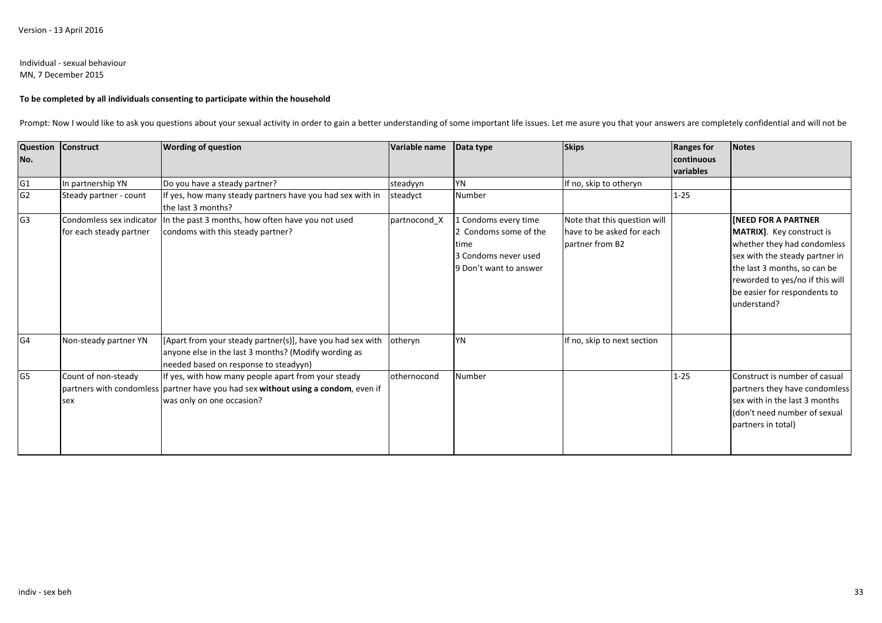# Individual - sexual behaviour

MN, 7 December 2015

## **To be completed by all individuals consenting to participate within the household**

Prompt: Now I would like to ask you questions about your sexual activity in order to gain a better understanding of some important life issues. Let me asure you that your answers are completely confidential and will not be

| No.            | Question Construct                                  | <b>Wording of question</b>                                                                                                                                            | Variable name | Data type                                                                                               | <b>Skips</b>                                                                 | <b>Ranges for</b><br>continuous<br>variables | <b>Notes</b>                                                                                                                                                                                                                                      |
|----------------|-----------------------------------------------------|-----------------------------------------------------------------------------------------------------------------------------------------------------------------------|---------------|---------------------------------------------------------------------------------------------------------|------------------------------------------------------------------------------|----------------------------------------------|---------------------------------------------------------------------------------------------------------------------------------------------------------------------------------------------------------------------------------------------------|
| G <sub>1</sub> | In partnership YN                                   | Do you have a steady partner?                                                                                                                                         | steadyyn      | YN                                                                                                      | If no, skip to otheryn                                                       |                                              |                                                                                                                                                                                                                                                   |
| G <sub>2</sub> | Steady partner - count                              | If yes, how many steady partners have you had sex with in<br>the last 3 months?                                                                                       | steadyct      | Number                                                                                                  |                                                                              | $1 - 25$                                     |                                                                                                                                                                                                                                                   |
| G <sub>3</sub> | Condomless sex indicator<br>for each steady partner | In the past 3 months, how often have you not used<br>condoms with this steady partner?                                                                                | partnocond X  | 1 Condoms every time<br>2 Condoms some of the<br>time<br>3 Condoms never used<br>9 Don't want to answer | Note that this question will<br>have to be asked for each<br>partner from B2 |                                              | <b>INEED FOR A PARTNER</b><br><b>MATRIX].</b> Key construct is<br>whether they had condomless<br>sex with the steady partner in<br>the last 3 months, so can be<br>reworded to yes/no if this will<br>be easier for respondents to<br>understand? |
| G <sub>4</sub> | Non-steady partner YN                               | [Apart from your steady partner(s)], have you had sex with<br>anyone else in the last 3 months? (Modify wording as<br>needed based on response to steadyyn)           | otheryn       | <b>YN</b>                                                                                               | If no, skip to next section                                                  |                                              |                                                                                                                                                                                                                                                   |
| G <sub>5</sub> | Count of non-steady<br>sex                          | If yes, with how many people apart from your steady<br>partners with condomless partner have you had sex without using a condom, even if<br>was only on one occasion? | othernocond   | Number                                                                                                  |                                                                              | $1 - 25$                                     | Construct is number of casual<br>partners they have condomless<br>sex with in the last 3 months<br>(don't need number of sexual<br>partners in total)                                                                                             |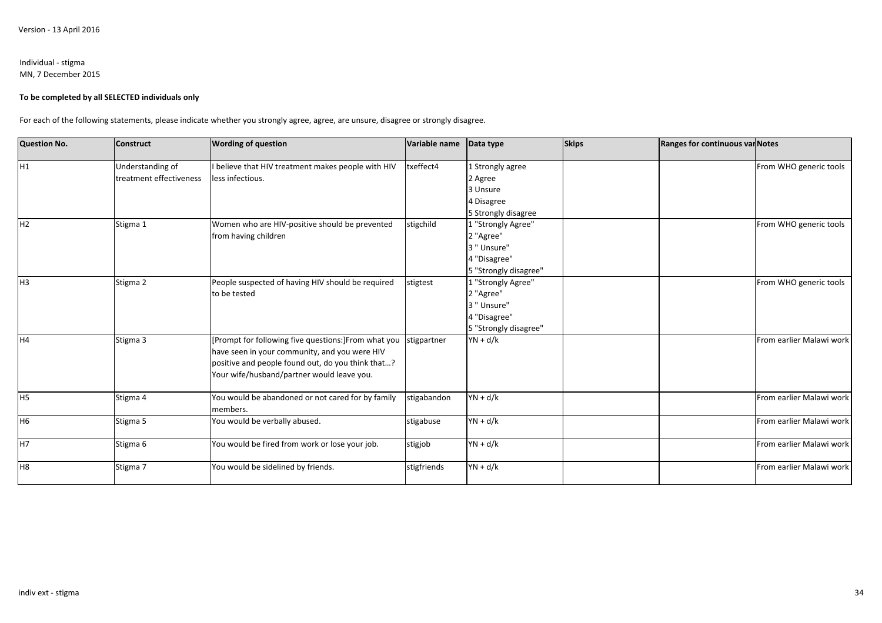#### Individual - stigmaMN, 7 December 2015

#### **To be completed by all SELECTED individuals only**

For each of the following statements, please indicate whether you strongly agree, agree, are unsure, disagree or strongly disagree.

| <b>Question No.</b> | <b>Construct</b>        | <b>Wording of question</b>                          | Variable name | Data type               | <b>Skips</b> | Ranges for continuous var Notes |                          |
|---------------------|-------------------------|-----------------------------------------------------|---------------|-------------------------|--------------|---------------------------------|--------------------------|
| H <sub>1</sub>      | Understanding of        | I believe that HIV treatment makes people with HIV  | txeffect4     | 1 Strongly agree        |              |                                 | From WHO generic tools   |
|                     | treatment effectiveness | less infectious.                                    |               | 2 Agree                 |              |                                 |                          |
|                     |                         |                                                     |               | 3 Unsure                |              |                                 |                          |
|                     |                         |                                                     |               | 1 Disagree              |              |                                 |                          |
|                     |                         |                                                     |               | 5 Strongly disagree     |              |                                 |                          |
| H <sub>2</sub>      | Stigma 1                | Women who are HIV-positive should be prevented      | stigchild     | 1 "Strongly Agree"      |              |                                 | From WHO generic tools   |
|                     |                         | from having children                                |               | 2 "Agree"               |              |                                 |                          |
|                     |                         |                                                     |               | 3 " Unsure"             |              |                                 |                          |
|                     |                         |                                                     |               | <sup>1</sup> "Disagree" |              |                                 |                          |
|                     |                         |                                                     |               | 5 "Strongly disagree"   |              |                                 |                          |
| H <sub>3</sub>      | Stigma 2                | People suspected of having HIV should be required   | stigtest      | "Strongly Agree"        |              |                                 | From WHO generic tools   |
|                     |                         | to be tested                                        |               | 2 "Agree"               |              |                                 |                          |
|                     |                         |                                                     |               | 3 " Unsure"             |              |                                 |                          |
|                     |                         |                                                     |               | <sup>"Disagree"</sup>   |              |                                 |                          |
|                     |                         |                                                     |               | 5 "Strongly disagree"   |              |                                 |                          |
| H4                  | Stigma 3                | [Prompt for following five questions:]From what you | stigpartner   | $YN + d/k$              |              |                                 | From earlier Malawi work |
|                     |                         | have seen in your community, and you were HIV       |               |                         |              |                                 |                          |
|                     |                         | positive and people found out, do you think that?   |               |                         |              |                                 |                          |
|                     |                         | Your wife/husband/partner would leave you.          |               |                         |              |                                 |                          |
|                     |                         |                                                     |               |                         |              |                                 |                          |
| H <sub>5</sub>      | Stigma 4                | You would be abandoned or not cared for by family   | stigabandon   | $YN + d/k$              |              |                                 | From earlier Malawi work |
|                     |                         | members.                                            |               |                         |              |                                 |                          |
| H <sub>6</sub>      | Stigma 5                | You would be verbally abused.                       | stigabuse     | $YN + d/k$              |              |                                 | From earlier Malawi work |
| H7                  |                         | You would be fired from work or lose your job.      | stigjob       | $YN + d/k$              |              |                                 | From earlier Malawi work |
|                     | Stigma 6                |                                                     |               |                         |              |                                 |                          |
| H <sub>8</sub>      | Stigma 7                | You would be sidelined by friends.                  | stigfriends   | $YN + d/k$              |              |                                 | From earlier Malawi work |
|                     |                         |                                                     |               |                         |              |                                 |                          |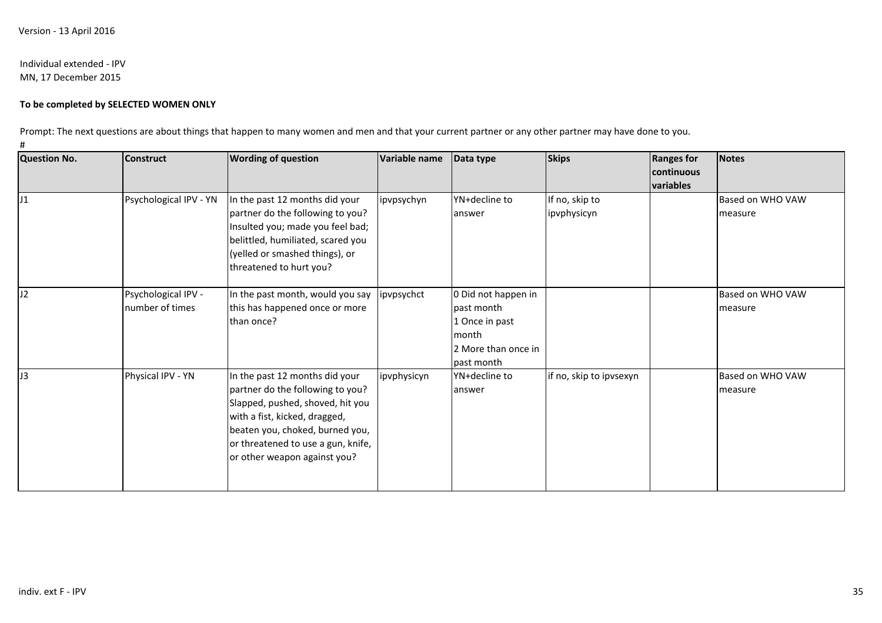## Individual extended - IPVMN, 17 December 2015

# **To be completed by SELECTED WOMEN ONLY**

Prompt: The next questions are about things that happen to many women and men and that your current partner or any other partner may have done to you.

#

| <b>Question No.</b> | <b>Wording of question</b><br><b>Construct</b> |                                                                                                                                                                                                                                                  | Variable name |                                                                                                   | <b>Skips</b>                  | <b>Ranges for</b><br><b>continuous</b><br>variables | <b>Notes</b>                |  |
|---------------------|------------------------------------------------|--------------------------------------------------------------------------------------------------------------------------------------------------------------------------------------------------------------------------------------------------|---------------|---------------------------------------------------------------------------------------------------|-------------------------------|-----------------------------------------------------|-----------------------------|--|
| J1                  | Psychological IPV - YN                         | In the past 12 months did your<br>partner do the following to you?<br>Insulted you; made you feel bad;<br>belittled, humiliated, scared you<br>(yelled or smashed things), or<br>threatened to hurt you?                                         | ipvpsychyn    | YN+decline to<br>answer                                                                           | If no, skip to<br>ipvphysicyn |                                                     | Based on WHO VAW<br>measure |  |
| IJ2                 | Psychological IPV -<br>number of times         | In the past month, would you say<br>this has happened once or more<br>than once?                                                                                                                                                                 | ipvpsychct    | 0 Did not happen in<br>past month<br>1 Once in past<br>month<br>2 More than once in<br>past month |                               |                                                     | Based on WHO VAW<br>measure |  |
| J3                  | Physical IPV - YN                              | In the past 12 months did your<br>partner do the following to you?<br>Slapped, pushed, shoved, hit you<br>with a fist, kicked, dragged,<br>beaten you, choked, burned you,<br>or threatened to use a gun, knife,<br>or other weapon against you? | ipvphysicyn   | YN+decline to<br>answer                                                                           | if no, skip to ipvsexyn       |                                                     | Based on WHO VAW<br>measure |  |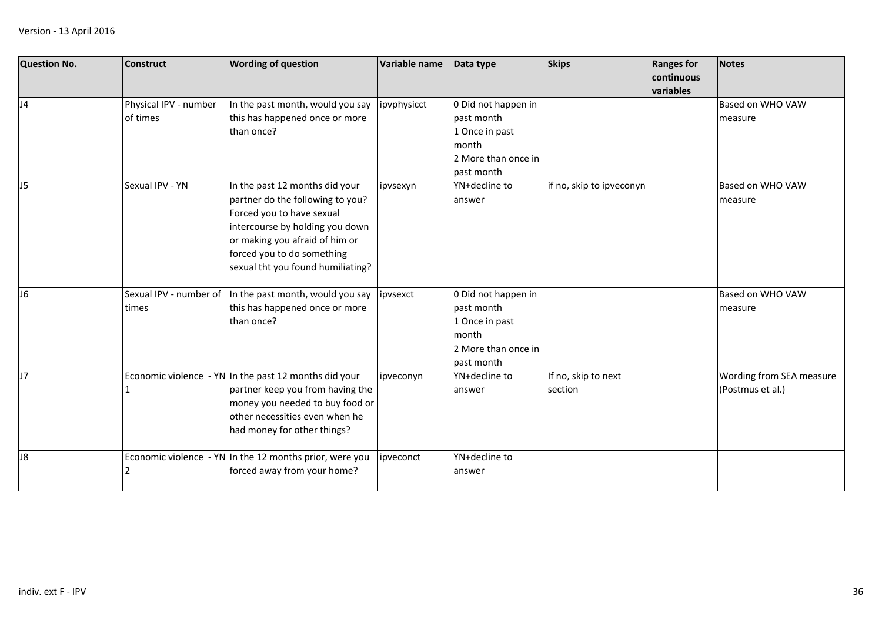| <b>Question No.</b> | <b>Construct</b>                  | <b>Wording of question</b>                                                                                                                                                                                                              | Variable name | Data type                                                                                         | <b>Skips</b>                   | <b>Ranges for</b><br>continuous<br>variables | <b>Notes</b>                                 |
|---------------------|-----------------------------------|-----------------------------------------------------------------------------------------------------------------------------------------------------------------------------------------------------------------------------------------|---------------|---------------------------------------------------------------------------------------------------|--------------------------------|----------------------------------------------|----------------------------------------------|
| J4                  | Physical IPV - number<br>of times | In the past month, would you say<br>this has happened once or more<br>than once?                                                                                                                                                        | ipvphysicct   | 0 Did not happen in<br>past month<br>1 Once in past<br>month<br>2 More than once in<br>past month |                                |                                              | Based on WHO VAW<br>measure                  |
| J <sub>5</sub>      | Sexual IPV - YN                   | In the past 12 months did your<br>partner do the following to you?<br>Forced you to have sexual<br>intercourse by holding you down<br>or making you afraid of him or<br>forced you to do something<br>sexual tht you found humiliating? | ipvsexyn      | YN+decline to<br>answer                                                                           | if no, skip to ipveconyn       |                                              | Based on WHO VAW<br>measure                  |
| J <sub>6</sub>      | Sexual IPV - number of<br>times   | In the past month, would you say<br>this has happened once or more<br>than once?                                                                                                                                                        | ipvsexct      | 0 Did not happen in<br>past month<br>1 Once in past<br>month<br>2 More than once in<br>past month |                                |                                              | Based on WHO VAW<br>measure                  |
| J7                  |                                   | Economic violence - YN In the past 12 months did your<br>partner keep you from having the<br>money you needed to buy food or<br>other necessities even when he<br>had money for other things?                                           | ipveconyn     | YN+decline to<br>answer                                                                           | If no, skip to next<br>section |                                              | Wording from SEA measure<br>(Postmus et al.) |
| J8                  |                                   | Economic violence - YN In the 12 months prior, were you<br>forced away from your home?                                                                                                                                                  | ipveconct     | YN+decline to<br>answer                                                                           |                                |                                              |                                              |